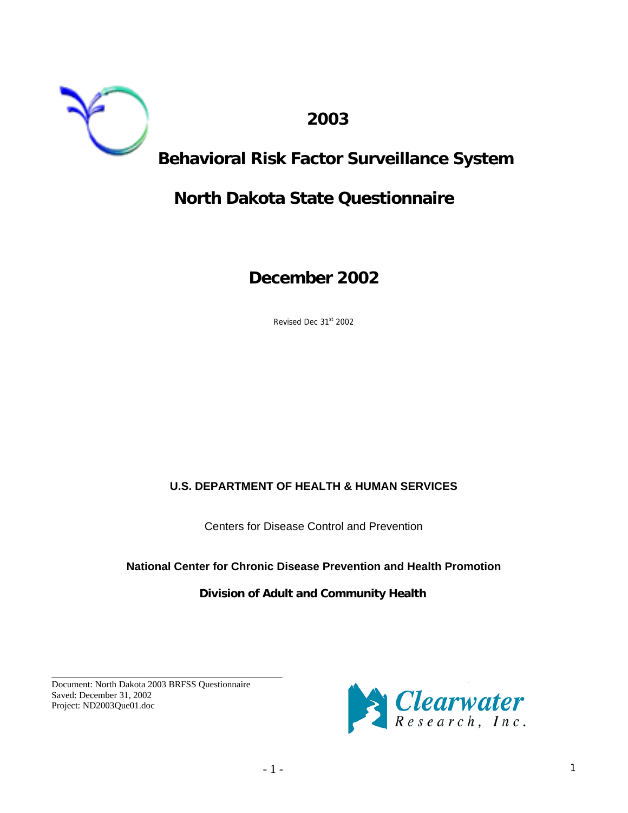

 **2003** 

## **Behavioral Risk Factor Surveillance System**

## **North Dakota State Questionnaire**

**December 2002** 

Revised Dec 31st 2002

### **U.S. DEPARTMENT OF HEALTH & HUMAN SERVICES**

Centers for Disease Control and Prevention

### **National Center for Chronic Disease Prevention and Health Promotion**

### **Division of Adult and Community Health**

Document: North Dakota 2003 BRFSS Questionnaire Saved: December 31, 2002 Project: ND2003Que01.doc

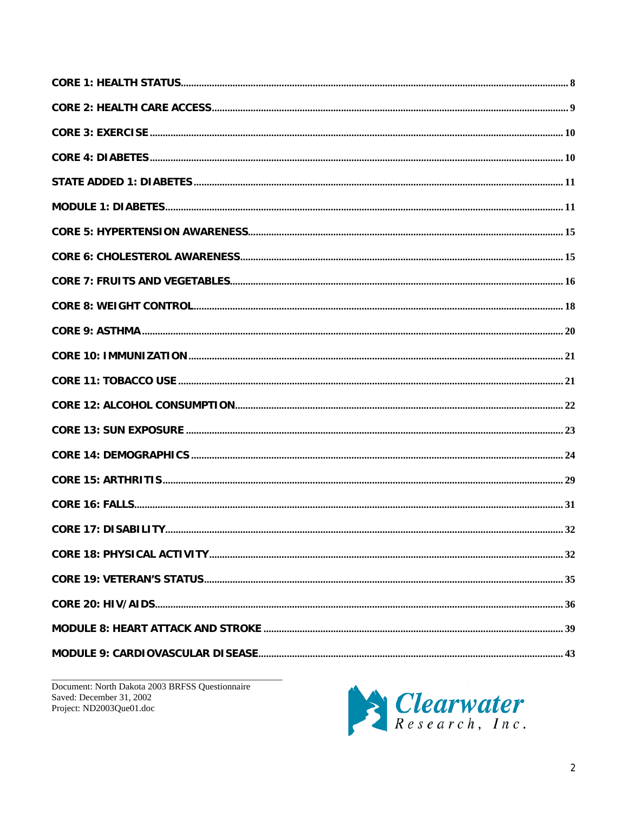Document: North Dakota 2003 BRFSS Questionnaire Saved: December 31, 2002 Project: ND2003Que01.doc

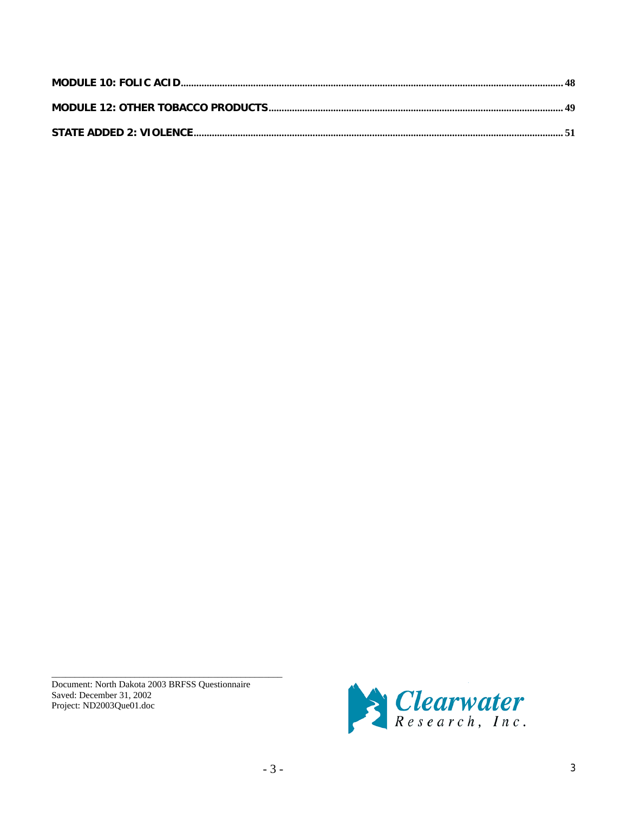Document: North Dakota 2003 BRFSS Questionnaire Saved: December 31, 2002 Project: ND2003Que01.doc

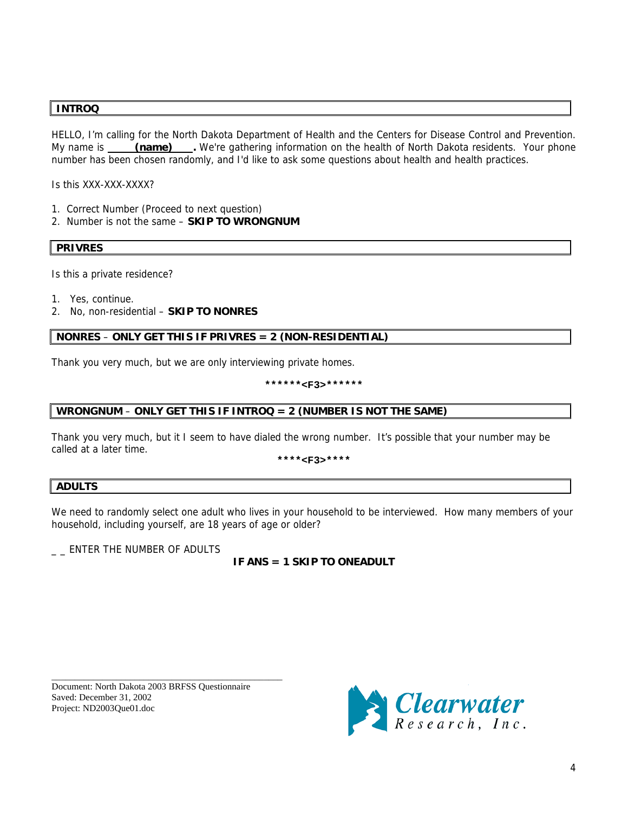### **INTROQ**

HELLO, I'm calling for the North Dakota Department of Health and the Centers for Disease Control and Prevention. My name is \_\_\_\_\_ (name) \_\_\_\_. We're gathering information on the health of North Dakota residents. Your phone number has been chosen randomly, and I'd like to ask some questions about health and health practices.

Is this XXX-XXX-XXXX?

- 1. Correct Number (Proceed to next question)
- 2. Number is not the same **SKIP TO WRONGNUM**

**PRIVRES** 

Is this a private residence?

- 1. Yes, continue.
- 2. No, non-residential **SKIP TO NONRES**

### **NONRES** – **ONLY GET THIS IF PRIVRES = 2 (NON-RESIDENTIAL)**

Thank you very much, but we are only interviewing private homes.

**\*\*\*\*\*\*<F3>\*\*\*\*\*\*** 

### **WRONGNUM** – **ONLY GET THIS IF INTROQ = 2 (NUMBER IS NOT THE SAME)**

Thank you very much, but it I seem to have dialed the wrong number. It's possible that your number may be called at a later time.

**\*\*\*\*<F3>\*\*\*\***

### **ADULTS**

We need to randomly select one adult who lives in your household to be interviewed. How many members of your household, including yourself, are 18 years of age or older?

\_ \_ ENTER THE NUMBER OF ADULTS

### **IF ANS = 1 SKIP TO ONEADULT**

Document: North Dakota 2003 BRFSS Questionnaire Saved: December 31, 2002 Project: ND2003Que01.doc

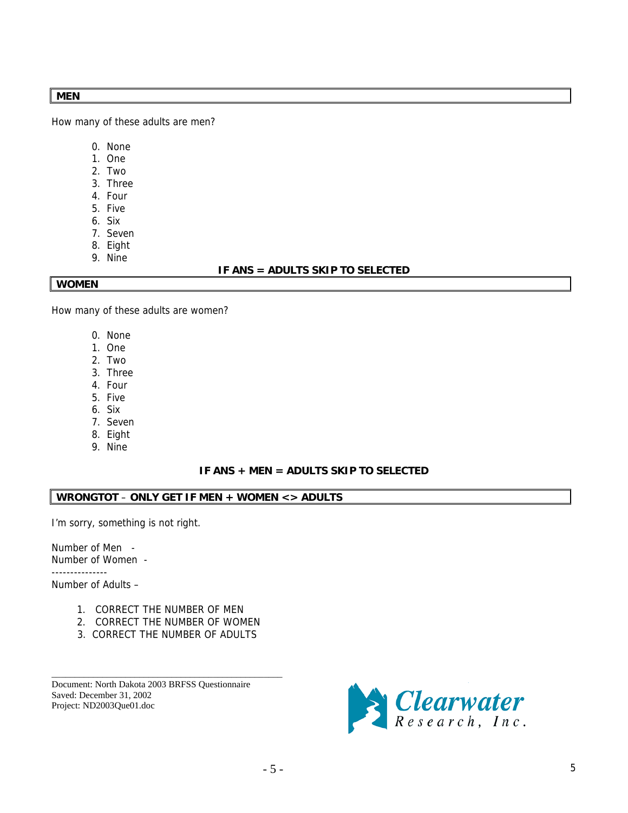### **MEN**

How many of these adults are men?

- 0. None
- 1. One
- 2. Two
- 3. Three
- 4. Four
- 5. Five
- 6. Six
- 7. Seven
- 8. Eight 9. Nine

### **IF ANS = ADULTS SKIP TO SELECTED**

### **WOMEN**

How many of these adults are women?

- 0. None
- 1. One
- 2. Two
- 3. Three
- 4. Four
- 5. Five
- 6. Six
- 7. Seven
- 8. Eight
- 9. Nine

### **IF ANS + MEN = ADULTS SKIP TO SELECTED**

### **WRONGTOT** – **ONLY GET IF MEN + WOMEN <> ADULTS**

I'm sorry, something is not right.

Number of Men - Number of Women -

---------------

Number of Adults –

- 1. CORRECT THE NUMBER OF MEN
- 2. CORRECT THE NUMBER OF WOMEN
- 3. CORRECT THE NUMBER OF ADULTS

\_\_\_\_\_\_\_\_\_\_\_\_\_\_\_\_\_\_\_\_\_\_\_\_\_\_\_\_\_\_\_\_\_\_\_\_\_\_\_\_\_\_\_\_\_\_\_\_\_\_

Document: North Dakota 2003 BRFSS Questionnaire Saved: December 31, 2002 Project: ND2003Que01.doc

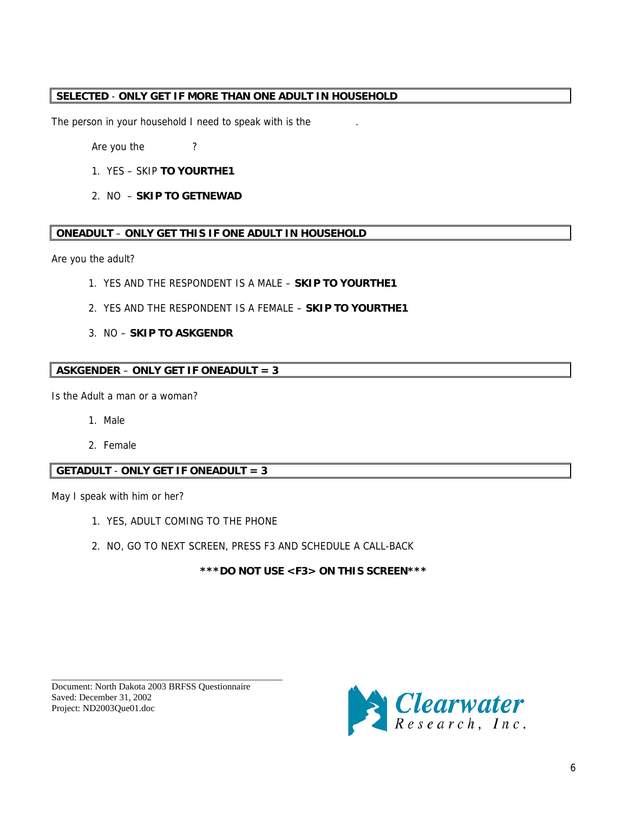### **SELECTED** - **ONLY GET IF MORE THAN ONE ADULT IN HOUSEHOLD**

The person in your household I need to speak with is the

Are you the ?

- 1. YES SKIP **TO YOURTHE1**
- 2. NO **SKIP TO GETNEWAD**

### **ONEADULT** – **ONLY GET THIS IF ONE ADULT IN HOUSEHOLD**

Are you the adult?

- 1. YES AND THE RESPONDENT IS A MALE **SKIP TO YOURTHE1**
- 2. YES AND THE RESPONDENT IS A FEMALE **SKIP TO YOURTHE1**
- 3. NO **SKIP TO ASKGENDR**

### **ASKGENDER** – **ONLY GET IF ONEADULT = 3**

Is the Adult a man or a woman?

- 1. Male
- 2. Female

### **GETADULT** - **ONLY GET IF ONEADULT = 3**

May I speak with him or her?

- 1. YES, ADULT COMING TO THE PHONE
- 2. NO, GO TO NEXT SCREEN, PRESS F3 AND SCHEDULE A CALL-BACK

**\*\*\*DO NOT USE <F3> ON THIS SCREEN\*\*\*** 

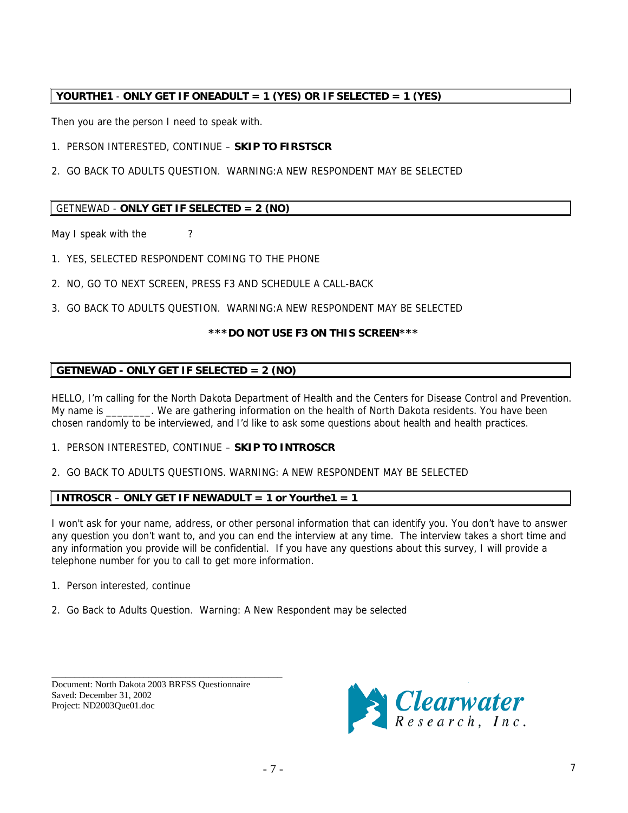### **YOURTHE1** - **ONLY GET IF ONEADULT = 1 (YES) OR IF SELECTED = 1 (YES)**

Then you are the person I need to speak with.

1. PERSON INTERESTED, CONTINUE – **SKIP TO FIRSTSCR**

2. GO BACK TO ADULTS QUESTION. WARNING:A NEW RESPONDENT MAY BE SELECTED

### GETNEWAD - **ONLY GET IF SELECTED = 2 (NO)**

May I speak with the ?

- 1. YES, SELECTED RESPONDENT COMING TO THE PHONE
- 2. NO, GO TO NEXT SCREEN, PRESS F3 AND SCHEDULE A CALL-BACK
- 3. GO BACK TO ADULTS QUESTION. WARNING:A NEW RESPONDENT MAY BE SELECTED

### **\*\*\*DO NOT USE F3 ON THIS SCREEN\*\*\***

### **GETNEWAD - ONLY GET IF SELECTED = 2 (NO)**

HELLO, I'm calling for the North Dakota Department of Health and the Centers for Disease Control and Prevention. My name is \_\_\_\_\_\_\_\_. We are gathering information on the health of North Dakota residents. You have been chosen randomly to be interviewed, and I'd like to ask some questions about health and health practices.

### 1. PERSON INTERESTED, CONTINUE – **SKIP TO INTROSCR**

2. GO BACK TO ADULTS QUESTIONS. WARNING: A NEW RESPONDENT MAY BE SELECTED

### **INTROSCR** – **ONLY GET IF NEWADULT = 1 or Yourthe1 = 1**

I won't ask for your name, address, or other personal information that can identify you. You don't have to answer any question you don't want to, and you can end the interview at any time. The interview takes a short time and any information you provide will be confidential. If you have any questions about this survey, I will provide a telephone number for you to call to get more information.

- 1. Person interested, continue
- 2. Go Back to Adults Question. Warning: A New Respondent may be selected

Document: North Dakota 2003 BRFSS Questionnaire Saved: December 31, 2002 Project: ND2003Que01.doc

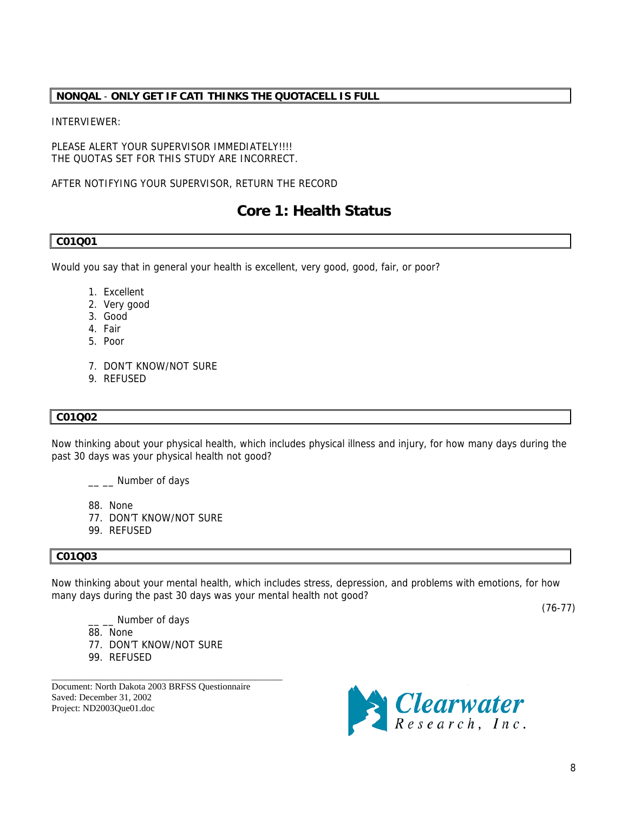### <span id="page-7-0"></span>**NONQAL** - **ONLY GET IF CATI THINKS THE QUOTACELL IS FULL**

### INTERVIEWER:

PLEASE ALERT YOUR SUPERVISOR IMMEDIATELY !!!! THE QUOTAS SET FOR THIS STUDY ARE INCORRECT.

AFTER NOTIFYING YOUR SUPERVISOR, RETURN THE RECORD

### **Core 1: Health Status**

### **C01Q01**

Would you say that in general your health is excellent, very good, good, fair, or poor?

- 1. Excellent
- 2. Very good
- 3. Good
- 4. Fair
- 5. Poor
- 7. DON'T KNOW/NOT SURE
- 9. REFUSED

### **C01Q02**

Now thinking about your physical health, which includes physical illness and injury, for how many days during the past 30 days was your physical health not good?

\_\_ \_ Number of days

- 88. None
- 77. DON'T KNOW/NOT SURE
- 99. REFUSED

### **C01Q03**

Now thinking about your mental health, which includes stress, depression, and problems with emotions, for how many days during the past 30 days was your mental health not good?

\_\_ \_\_ Number of days

- 88. None
- 77. DON'T KNOW/NOT SURE
- 99. REFUSED

Document: North Dakota 2003 BRFSS Questionnaire Saved: December 31, 2002 Project: ND2003Que01.doc

\_\_\_\_\_\_\_\_\_\_\_\_\_\_\_\_\_\_\_\_\_\_\_\_\_\_\_\_\_\_\_\_\_\_\_\_\_\_\_\_\_\_\_\_\_\_\_\_\_\_



(76-77)

8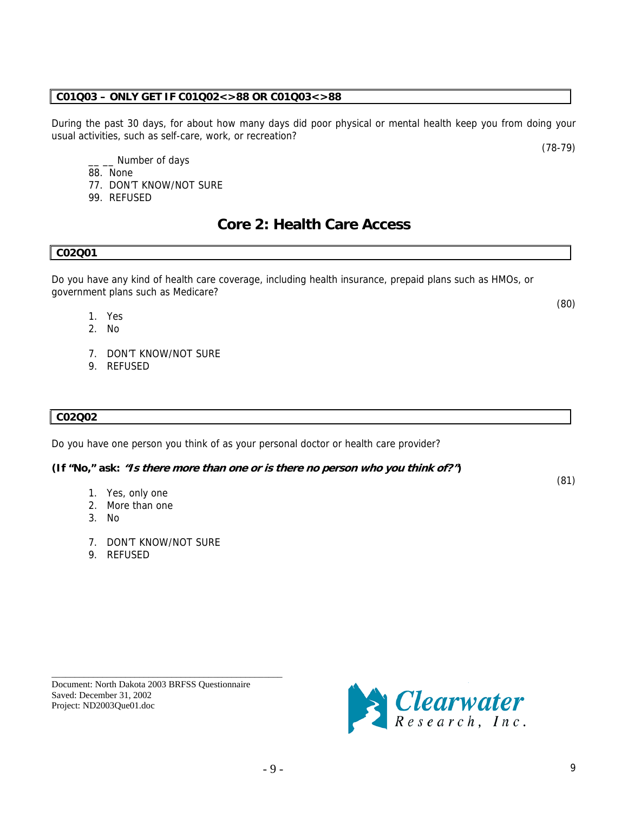\_\_\_\_\_\_\_\_\_\_\_\_\_\_\_\_\_\_\_\_\_\_\_\_\_\_\_\_\_\_\_\_\_\_\_\_\_\_\_\_\_\_\_\_\_\_\_\_\_\_ Document: North Dakota 2003 BRFSS Questionnaire Saved: December 31, 2002 Project: ND2003Que01.doc

### <span id="page-8-0"></span>**C01Q03 – ONLY GET IF C01Q02<>88 OR C01Q03<>88**

During the past 30 days, for about how many days did poor physical or mental health keep you from doing your usual activities, such as self-care, work, or recreation?

\_ Number of days

- 88. None
- 77. DON'T KNOW/NOT SURE
- 99. REFUSED

### **Core 2: Health Care Access**

### **C02Q01**

Do you have any kind of health care coverage, including health insurance, prepaid plans such as HMOs, or government plans such as Medicare?

- 1. Yes
- 2. No
- 7. DON'T KNOW/NOT SURE
- 9. REFUSED

### **C02Q02**

Do you have one person you think of as your personal doctor or health care provider?

### **(If "No," ask: "Is there more than one or is there no person who you think of?")**

- 1. Yes, only one
- 2. More than one
- 3. No
- 7. DON'T KNOW/NOT SURE
- 9. REFUSED

*S* Clearwater

(80)

(81)

(78-79)

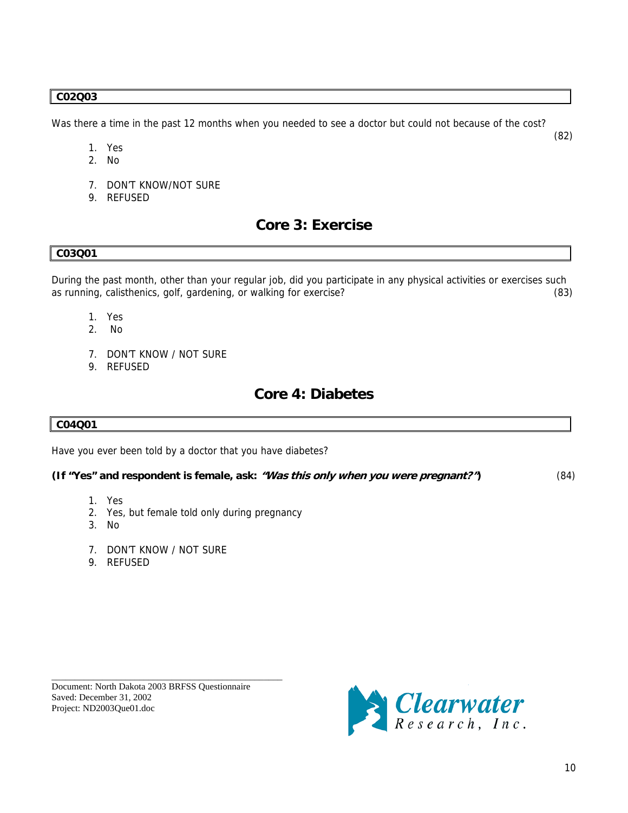### <span id="page-9-0"></span>**C02Q03**

Was there a time in the past 12 months when you needed to see a doctor but could not because of the cost?

- (82) 1. Yes
	- 2. No
	- 7. DON'T KNOW/NOT SURE
	- 9. REFUSED

### **Core 3: Exercise**

### **C03Q01**

During the past month, other than your regular job, did you participate in any physical activities or exercises such as running, calisthenics, golf, gardening, or walking for exercise? (83)

- 1. Yes
- 2. No
- 7. DON'T KNOW / NOT SURE
- 9. REFUSED

### **Core 4: Diabetes**

### **C04Q01**

Have you ever been told by a doctor that you have diabetes?

### **(If "Yes" and respondent is female, ask: "Was this only when you were pregnant?")** (84)

- 1. Yes
- 2. Yes, but female told only during pregnancy
- 3. No
- 7. DON'T KNOW / NOT SURE
- 9. REFUSED



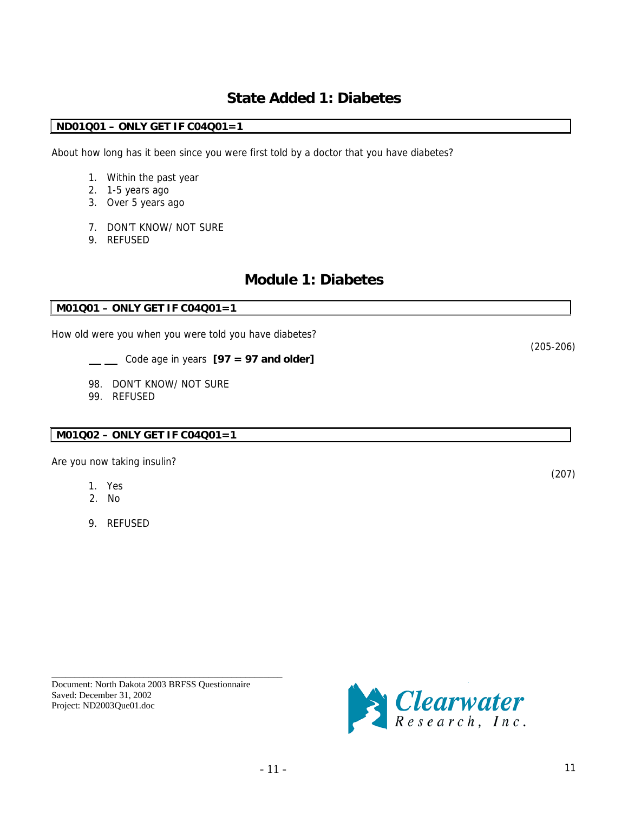### **State Added 1: Diabetes**

### <span id="page-10-0"></span>**ND01Q01 – ONLY GET IF C04Q01=1**

About how long has it been since you were first told by a doctor that you have diabetes?

- 1. Within the past year
- 2. 1-5 years ago
- 3. Over 5 years ago
- 7. DON'T KNOW/ NOT SURE
- 9. REFUSED

### **Module 1: Diabetes**

### **M01Q01 – ONLY GET IF C04Q01=1**

How old were you when you were told you have diabetes?

- Code age in years **[97 = 97 and older]**
- 98. DON'T KNOW/ NOT SURE
- 99. REFUSED

### **M01Q02 – ONLY GET IF C04Q01=1**

Are you now taking insulin?

- 1. Yes
- 2. No
- 9. REFUSED

Document: North Dakota 2003 BRFSS Questionnaire Saved: December 31, 2002 Project: ND2003Que01.doc

\_\_\_\_\_\_\_\_\_\_\_\_\_\_\_\_\_\_\_\_\_\_\_\_\_\_\_\_\_\_\_\_\_\_\_\_\_\_\_\_\_\_\_\_\_\_\_\_\_\_



(207)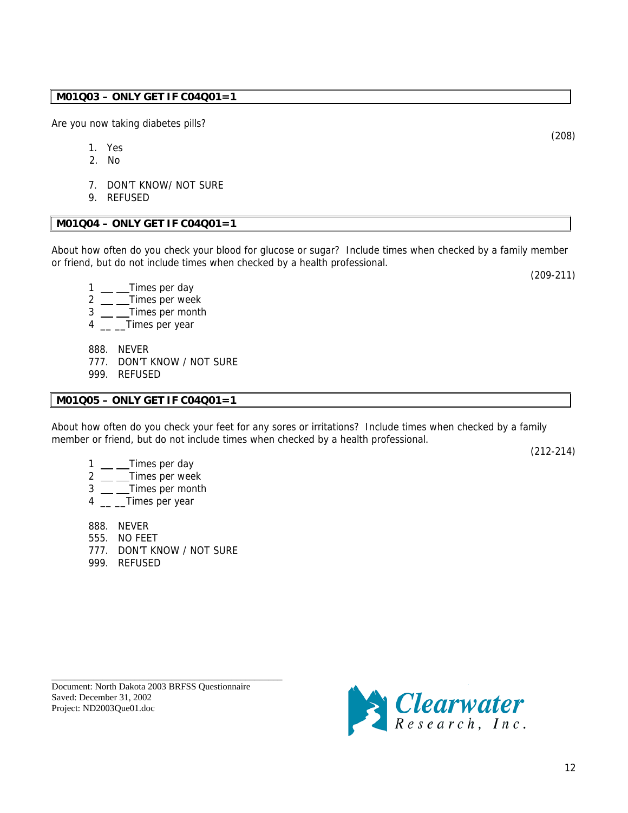### **M01Q03 – ONLY GET IF C04Q01=1**

Are you now taking diabetes pills?

- 1. Yes
- 2. No
- 7. DON'T KNOW/ NOT SURE
- 9. REFUSED

### **M01Q04 – ONLY GET IF C04Q01=1**

About how often do you check your blood for glucose or sugar? Include times when checked by a family member or friend, but do not include times when checked by a health professional.

- $1 \_\_\_\_$ Times per day
- 2 \_\_ \_Times per week
- 3 \_\_ \_\_Times per month
- 4 \_\_ \_Times per year
	- 888. NEVER
	- 777. DON'T KNOW / NOT SURE
	- 999. REFUSED

### **M01Q05 – ONLY GET IF C04Q01=1**

About how often do you check your feet for any sores or irritations? Include times when checked by a family member or friend, but do not include times when checked by a health professional.

(212-214)

- $1 \_\_\_\$  Times per day
- $2 \equiv$ Times per week
- $3 \_\_$ Times per month
- 4 \_\_ \_Times per year
- 888. NEVER
- 555. NO FEET
- 777. DON'T KNOW / NOT SURE
- 999. REFUSED

Document: North Dakota 2003 BRFSS Questionnaire Saved: December 31, 2002 Project: ND2003Que01.doc

\_\_\_\_\_\_\_\_\_\_\_\_\_\_\_\_\_\_\_\_\_\_\_\_\_\_\_\_\_\_\_\_\_\_\_\_\_\_\_\_\_\_\_\_\_\_\_\_\_\_



(208)

(209-211)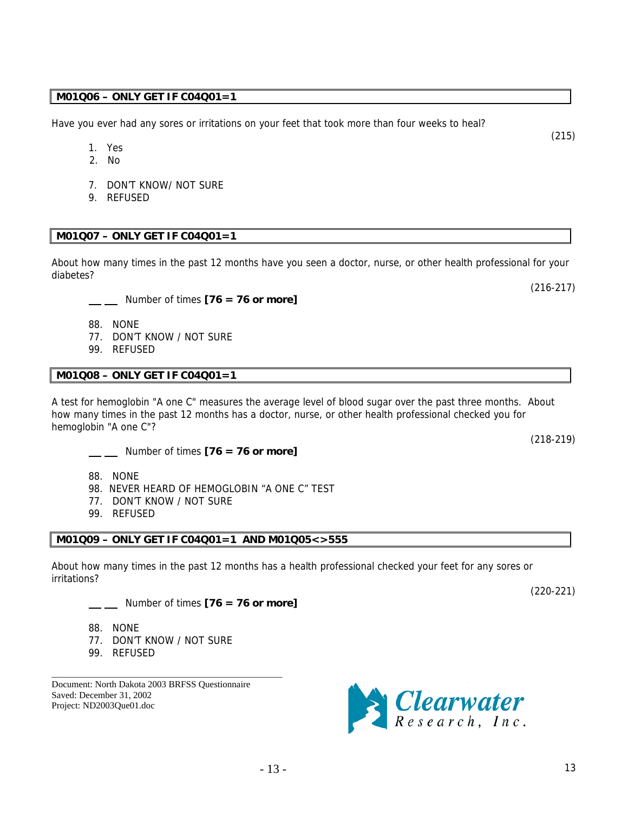### **M01Q06 – ONLY GET IF C04Q01=1**

Have you ever had any sores or irritations on your feet that took more than four weeks to heal?

- 1. Yes
- 2. No
- 7. DON'T KNOW/ NOT SURE
- 9. REFUSED

### **M01Q07 – ONLY GET IF C04Q01=1**

About how many times in the past 12 months have you seen a doctor, nurse, or other health professional for your diabetes?

Number of times **[76 = 76 or more]** 

- 88. NONE
- 77. DON'T KNOW / NOT SURE
- 99. REFUSED

### **M01Q08 – ONLY GET IF C04Q01=1**

A test for hemoglobin "A one C" measures the average level of blood sugar over the past three months. About how many times in the past 12 months has a doctor, nurse, or other health professional checked you for hemoglobin "A one C"?

- Number of times **[76 = 76 or more]**
- 88. NONE
- 98. NEVER HEARD OF HEMOGLOBIN "A ONE C" TEST
- 77. DON'T KNOW / NOT SURE
- 99. REFUSED

### **M01Q09 – ONLY GET IF C04Q01=1 AND M01Q05<>555**

About how many times in the past 12 months has a health professional checked your feet for any sores or irritations?

Number of times **[76 = 76 or more]** 

- 88. NONE
- 77. DON'T KNOW / NOT SURE

\_\_\_\_\_\_\_\_\_\_\_\_\_\_\_\_\_\_\_\_\_\_\_\_\_\_\_\_\_\_\_\_\_\_\_\_\_\_\_\_\_\_\_\_\_\_\_\_\_\_

99. REFUSED

Document: North Dakota 2003 BRFSS Questionnaire Saved: December 31, 2002 Project: ND2003Que01.doc



(218-219)

(220-221)

(216-217)

(215)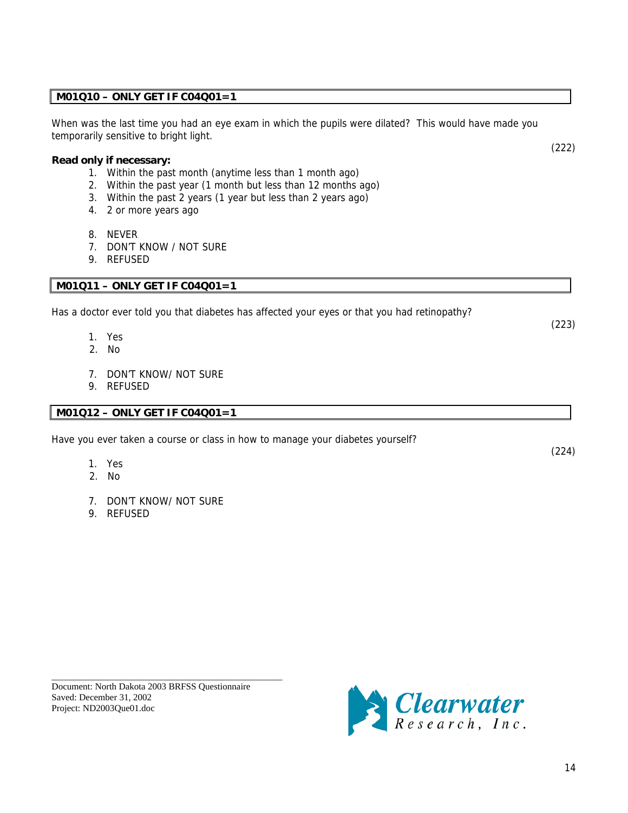### **M01Q10 – ONLY GET IF C04Q01=1**

When was the last time you had an eye exam in which the pupils were dilated? This would have made you temporarily sensitive to bright light.

### **Read only if necessary:**

- 1. Within the past month (anytime less than 1 month ago)
- 2. Within the past year (1 month but less than 12 months ago)
- 3. Within the past 2 years (1 year but less than 2 years ago)
- 4. 2 or more years ago
- 8. NEVER
- 7. DON'T KNOW / NOT SURE
- 9. REFUSED

### **M01Q11 – ONLY GET IF C04Q01=1**

Has a doctor ever told you that diabetes has affected your eyes or that you had retinopathy?

- 1. Yes
- 2. No
- 7. DON'T KNOW/ NOT SURE
- 9. REFUSED

### **M01Q12 – ONLY GET IF C04Q01=1**

Have you ever taken a course or class in how to manage your diabetes yourself?

- 1. Yes
- 2. No
- 7. DON'T KNOW/ NOT SURE
- 9. REFUSED

Document: North Dakota 2003 BRFSS Questionnaire Saved: December 31, 2002 Project: ND2003Que01.doc

\_\_\_\_\_\_\_\_\_\_\_\_\_\_\_\_\_\_\_\_\_\_\_\_\_\_\_\_\_\_\_\_\_\_\_\_\_\_\_\_\_\_\_\_\_\_\_\_\_\_



(222)

(223)

(224)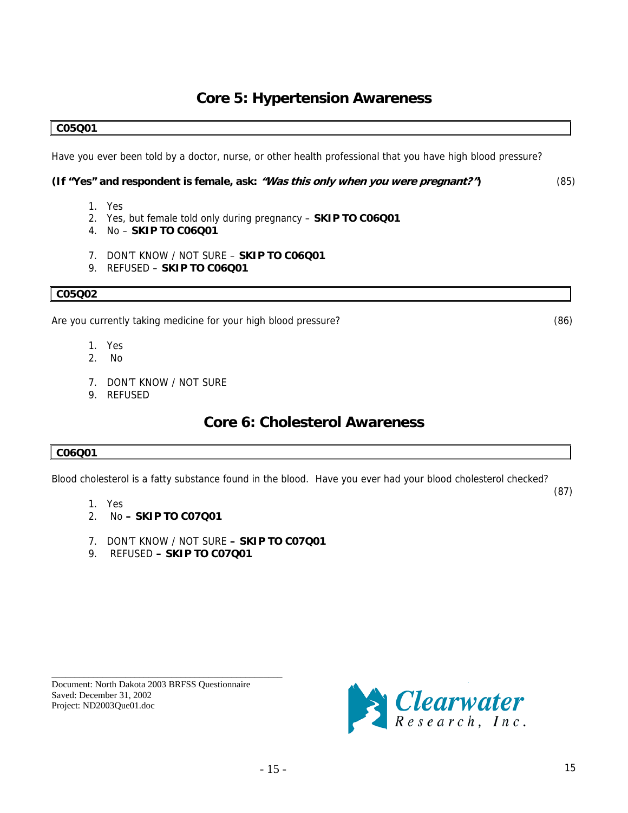### **Core 5: Hypertension Awareness**

### <span id="page-14-0"></span>**C05Q01**

Have you ever been told by a doctor, nurse, or other health professional that you have high blood pressure?

#### **(If "Yes" and respondent is female, ask: "Was this only when you were pregnant?")** (85)

- 1. Yes
- 2. Yes, but female told only during pregnancy **SKIP TO C06Q01**
- 4. No **SKIP TO C06Q01**
- 7. DON'T KNOW / NOT SURE **SKIP TO C06Q01**
- 9. REFUSED **SKIP TO C06Q01**

### **C05Q02**

Are you currently taking medicine for your high blood pressure? (86)

- 1. Yes
- 2. No
- 7. DON'T KNOW / NOT SURE
- 9. REFUSED

### **Core 6: Cholesterol Awareness**

### **C06Q01**

Blood cholesterol is a fatty substance found in the blood. Have you ever had your blood cholesterol checked?

- 1. Yes
- 2. No  **SKIP TO C07Q01**
- 7. DON'T KNOW / NOT SURE  **SKIP TO C07Q01**
- 9. REFUSED  **SKIP TO C07Q01**

Document: North Dakota 2003 BRFSS Questionnaire Saved: December 31, 2002 Project: ND2003Que01.doc

\_\_\_\_\_\_\_\_\_\_\_\_\_\_\_\_\_\_\_\_\_\_\_\_\_\_\_\_\_\_\_\_\_\_\_\_\_\_\_\_\_\_\_\_\_\_\_\_\_\_



(87)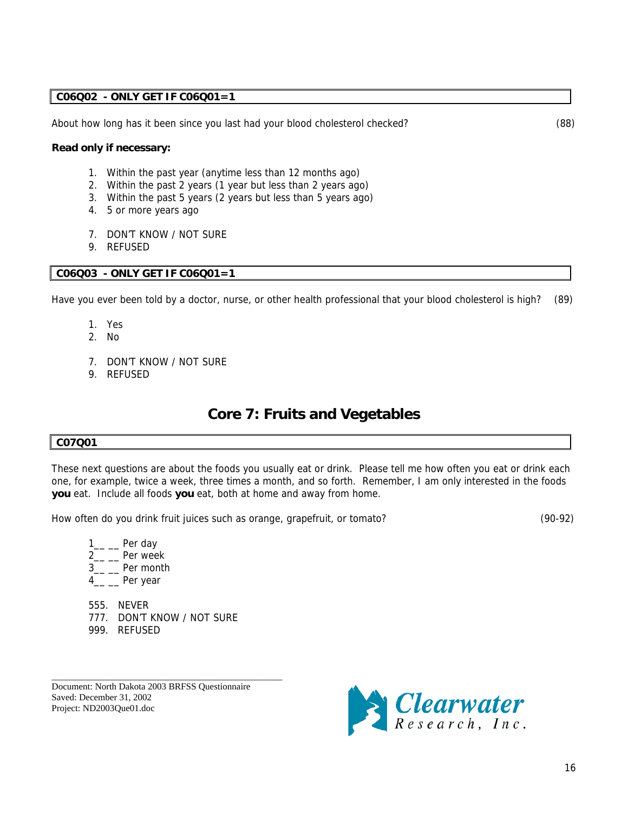### <span id="page-15-0"></span>**C06Q02 - ONLY GET IF C06Q01=1**

About how long has it been since you last had your blood cholesterol checked? (88)

#### **Read only if necessary:**

- 1. Within the past year (anytime less than 12 months ago)
- 2. Within the past 2 years (1 year but less than 2 years ago)
- 3. Within the past 5 years (2 years but less than 5 years ago)
- 4. 5 or more years ago
- 7. DON'T KNOW / NOT SURE
- 9. REFUSED

#### **C06Q03 - ONLY GET IF C06Q01=1**

Have you ever been told by a doctor, nurse, or other health professional that your blood cholesterol is high? (89)

- 1. Yes
- 2. No
- 7. DON'T KNOW / NOT SURE
- 9. REFUSED

### **Core 7: Fruits and Vegetables**

#### **C07Q01**

These next questions are about the foods you usually eat or drink. Please tell me how often you eat or drink each one, for example, twice a week, three times a month, and so forth. Remember, I am only interested in the foods **you** eat. Include all foods **you** eat, both at home and away from home.

How often do you drink fruit juices such as orange, grapefruit, or tomato? (90-92)

 $1_{--}$  Per day

- 2<sub>\_\_</sub> \_\_ Per week
- 3\_\_ \_\_ Per month
- 4\_\_ \_\_ Per year
- 555. NEVER 777. DON'T KNOW / NOT SURE
- 999. REFUSED

Document: North Dakota 2003 BRFSS Questionnaire Saved: December 31, 2002 Project: ND2003Que01.doc

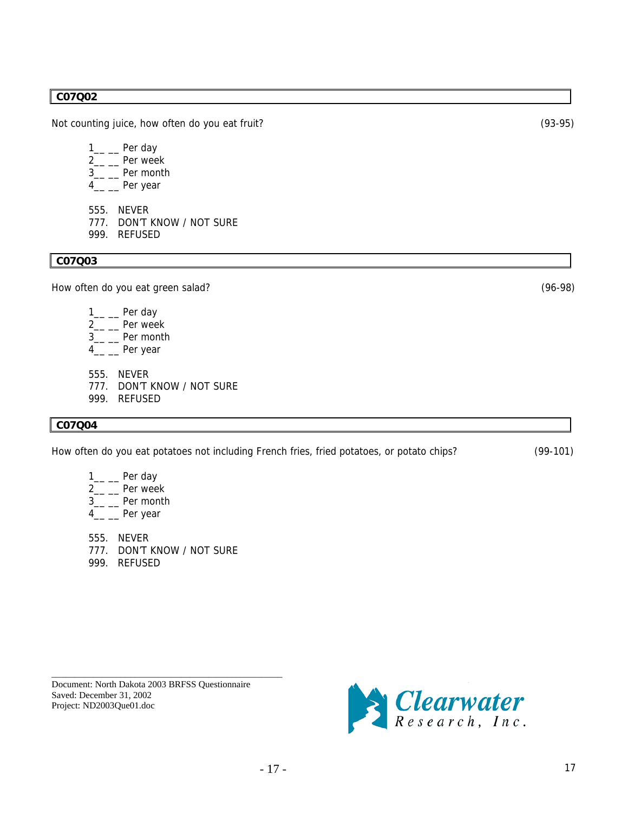#### **C07Q02**

Not counting juice, how often do you eat fruit? (93-95)

- $1$ <sub>\_\_</sub> Per day
- 2<sub>\_\_</sub> \_\_ Per week
- 3\_\_ \_\_ Per month
- 4\_\_ \_\_ Per year
- 555. NEVER
- 777. DON'T KNOW / NOT SURE
- 999. REFUSED

**C07Q03** 

How often do you eat green salad? (96-98)

- $1$ <sub>\_\_</sub> \_\_\_ Per day
- $2\frac{1}{2}$  Per week
- 3\_\_ \_\_ Per month
- 4<sub>\_\_</sub> \_\_ Per year
- 555. NEVER
- 777. DON'T KNOW / NOT SURE
- 999. REFUSED

### **C07Q04**

How often do you eat potatoes not including French fries, fried potatoes, or potato chips? (99-101)

 $1\_\_$  Per day 2<sub>\_</sub>\_\_ Per week 3\_\_ \_\_ Per month

4\_\_ \_\_ Per year

555. NEVER 777. DON'T KNOW / NOT SURE 999. REFUSED

Document: North Dakota 2003 BRFSS Questionnaire Saved: December 31, 2002 Project: ND2003Que01.doc

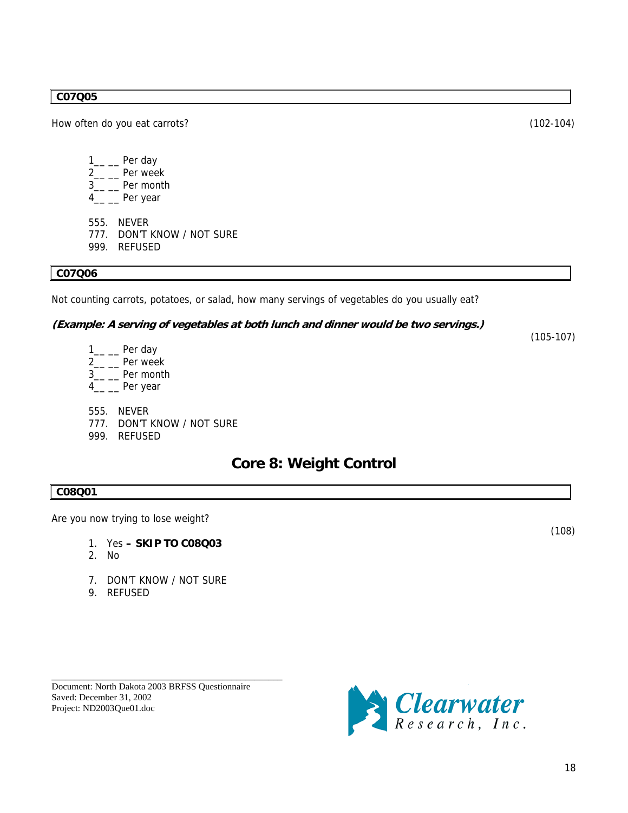### <span id="page-17-0"></span>**C07Q05**

How often do you eat carrots? (102-104)

- 1<sub>\_\_</sub> \_\_ Per day 2<sub>\_\_</sub> \_\_ Per week 3\_\_ \_\_ Per month 4\_\_ \_\_ Per year
- 
- 555. NEVER
- 777. DON'T KNOW / NOT SURE
- 999. REFUSED

### **C07Q06**

Not counting carrots, potatoes, or salad, how many servings of vegetables do you usually eat?

### **(Example: A serving of vegetables at both lunch and dinner would be two servings.)**

(105-107)

- 1<sub>\_\_</sub> \_\_ Per day 2<sub>\_\_</sub> \_\_ Per week 3\_\_ \_\_ Per month 4\_\_ \_\_ Per year 555. NEVER
- 777. DON'T KNOW / NOT SURE
- 999. REFUSED

### **Core 8: Weight Control**

 $(108)$ 

### **C08Q01**

Are you now trying to lose weight?

- 1. Yes  **SKIP TO C08Q03**
- 2. No
- 7. DON'T KNOW / NOT SURE
- 9. REFUSED

| Document: North Dakota 2003 BRFSS Ouestionnaire |  |
|-------------------------------------------------|--|
| Saved: December 31, 2002                        |  |
| Project: ND2003Que01.doc                        |  |

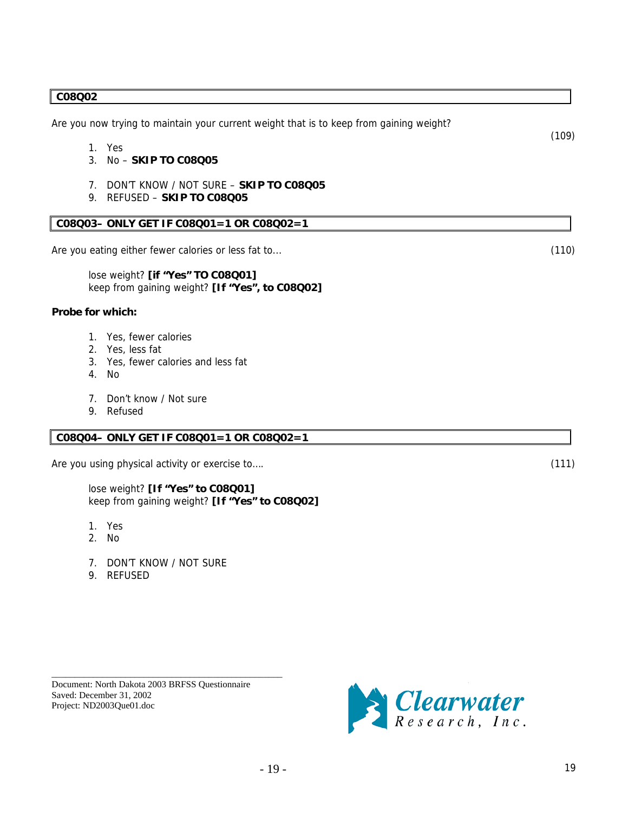#### **C08Q02**

Are you now trying to maintain your current weight that is to keep from gaining weight?

- 1. Yes
- 3. No **SKIP TO C08Q05**
- 7. DON'T KNOW / NOT SURE **SKIP TO C08Q05**
- 9. REFUSED **SKIP TO C08Q05**

### **C08Q03– ONLY GET IF C08Q01=1 OR C08Q02=1**

Are you eating either fewer calories or less fat to... (110)

lose weight? **[if "Yes" TO C08Q01]** keep from gaining weight? **[If "Yes", to C08Q02]** 

#### **Probe for which:**

- 1. Yes, fewer calories
- 2. Yes, less fat
- 3. Yes, fewer calories and less fat
- 4. No
- 7. Don't know / Not sure
- 9. Refused

### **C08Q04– ONLY GET IF C08Q01=1 OR C08Q02=1**

Are you using physical activity or exercise to.... (111)

lose weight? **[If "Yes" to C08Q01]** keep from gaining weight? **[If "Yes" to C08Q02]**

- 1. Yes
- 2. No
- 7. DON'T KNOW / NOT SURE
- 9. REFUSED





(109)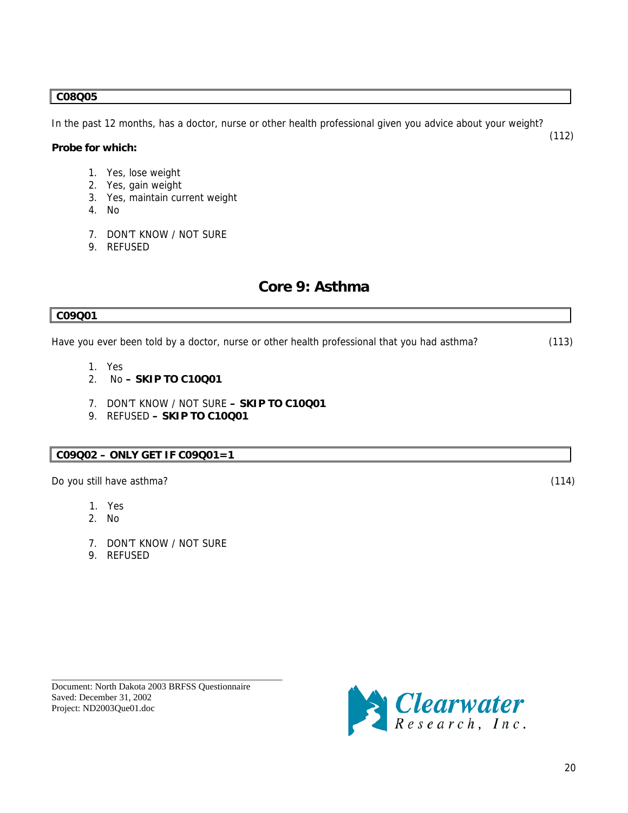### <span id="page-19-0"></span>**C08Q05**

**C09Q01** 

In the past 12 months, has a doctor, nurse or other health professional given you advice about your weight? (112)

### **Probe for which:**

- 1. Yes, lose weight
- 2. Yes, gain weight
- 3. Yes, maintain current weight
- 4. No
- 7. DON'T KNOW / NOT SURE
- 9. REFUSED

### **Core 9: Asthma**

| <u>vu / vu i</u>                                                                                                        |       |
|-------------------------------------------------------------------------------------------------------------------------|-------|
| Have you ever been told by a doctor, nurse or other health professional that you had asthma?                            | (113) |
| 1. Yes<br>$\mathcal{P}$<br>No - SKIP TO C10Q01<br>DON'T KNOW / NOT SURE - SKIP TO C10Q01<br>9. REFUSED - SKIP TO C10001 |       |
|                                                                                                                         |       |
| Do you still have asthma?                                                                                               | (114) |

- 1. Yes
- 2. No
- 7. DON'T KNOW / NOT SURE
- 9. REFUSED

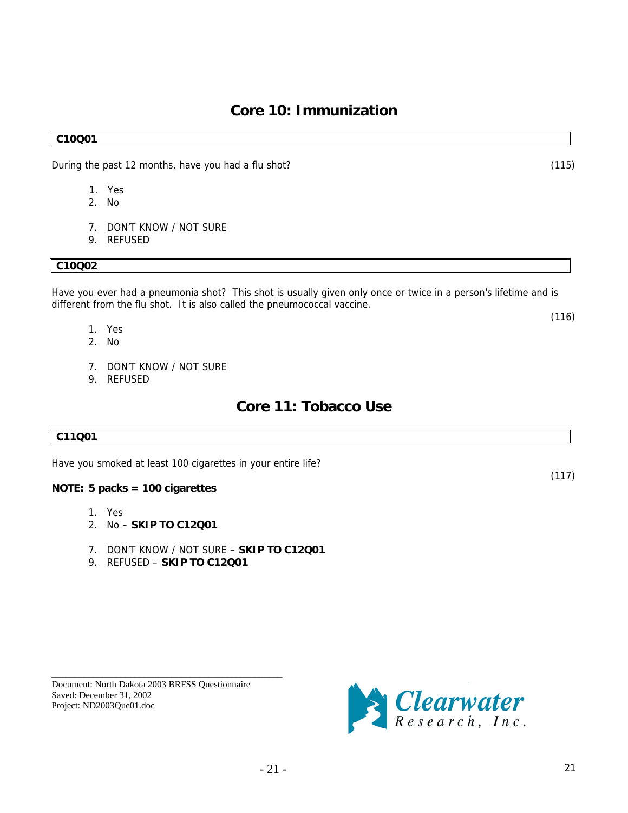<span id="page-20-0"></span>During the past 12 months, have you had a flu shot? (115)

- 1. Yes
- 2. No
- 7. DON'T KNOW / NOT SURE
- 9. REFUSED

### **C10Q02**

Have you ever had a pneumonia shot? This shot is usually given only once or twice in a person's lifetime and is different from the flu shot. It is also called the pneumococcal vaccine.

**Core 10: Immunization** 

- $(116)$ 1. Yes
	- 2. No
	- 7. DON'T KNOW / NOT SURE
	- 9. REFUSED

### **Core 11: Tobacco Use**

### **C11Q01**

Have you smoked at least 100 cigarettes in your entire life?

### **NOTE: 5 packs = 100 cigarettes**

- 1. Yes
- 2. No – **SKIP TO C12Q01**
- 7. DON'T KNOW / NOT SURE – **SKIP TO C12Q01**
- 9. REFUSED – **SKIP TO C12Q01**

Document: North Dakota 2003 BRFSS Questionnaire Saved: December 31, 2002 Project: ND2003Que01.doc

\_\_\_\_\_\_\_\_\_\_\_\_\_\_\_\_\_\_\_\_\_\_\_\_\_\_\_\_\_\_\_\_\_\_\_\_\_\_\_\_\_\_\_\_\_\_\_\_\_\_



(117)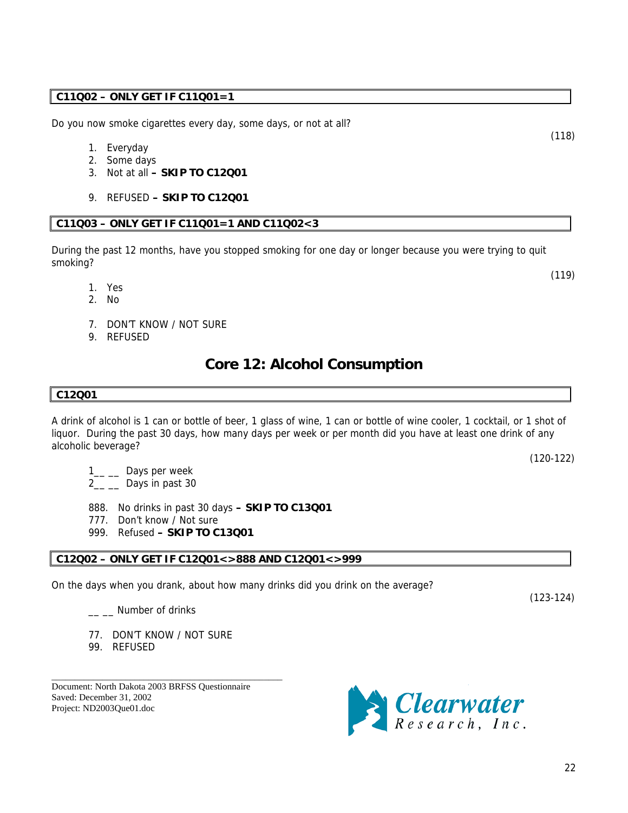### <span id="page-21-0"></span>**C11Q02 – ONLY GET IF C11Q01=1**

Do you now smoke cigarettes every day, some days, or not at all?

- 1. Everyday
- 2. Some days
- 3. Not at all  **SKIP TO C12Q01**
- 9. REFUSED  **SKIP TO C12Q01**

### **C11Q03 – ONLY GET IF C11Q01=1 AND C11Q02<3**

During the past 12 months, have you stopped smoking for one day or longer because you were trying to quit smoking?

- 1. Yes
- 2. No
- 7. DON'T KNOW / NOT SURE
- 9. REFUSED

### **Core 12: Alcohol Consumption**

### **C12Q01**

A drink of alcohol is 1 can or bottle of beer, 1 glass of wine, 1 can or bottle of wine cooler, 1 cocktail, or 1 shot of liquor. During the past 30 days, how many days per week or per month did you have at least one drink of any alcoholic beverage?

1<sub>\_\_</sub> Days per week

 $2_{\_\_\_\_\_\_\_\_\_}$  Days in past 30

888. No drinks in past 30 days **– SKIP TO C13Q01**

- 777. Don't know / Not sure
- 999. Refused  **SKIP TO C13Q01**

### **C12Q02 – ONLY GET IF C12Q01<>888 AND C12Q01<>999**

On the days when you drank, about how many drinks did you drink on the average?

\_\_ \_\_ Number of drinks

77. DON'T KNOW / NOT SURE

\_\_\_\_\_\_\_\_\_\_\_\_\_\_\_\_\_\_\_\_\_\_\_\_\_\_\_\_\_\_\_\_\_\_\_\_\_\_\_\_\_\_\_\_\_\_\_\_\_\_

99. REFUSED

Document: North Dakota 2003 BRFSS Questionnaire Saved: December 31, 2002 Project: ND2003Que01.doc



(118)

(119)

(120-122)

(123-124)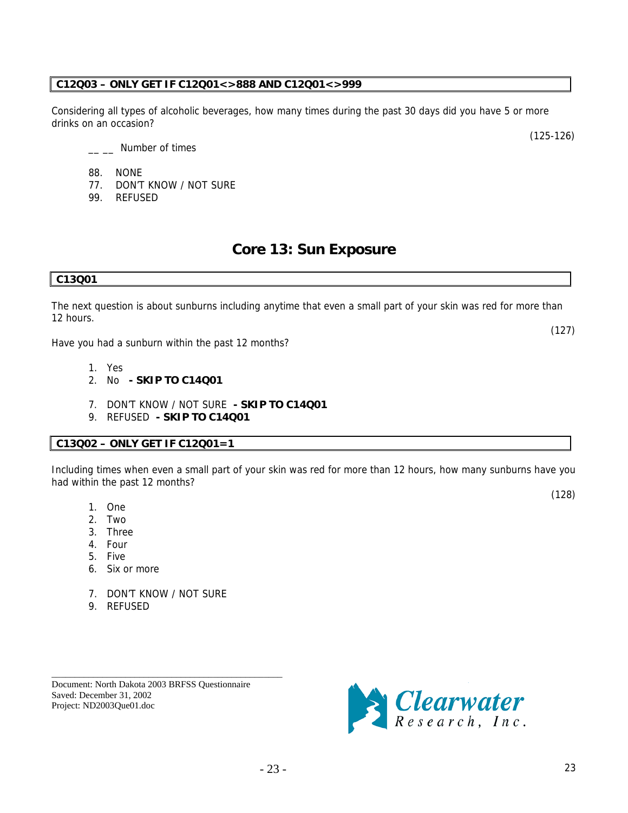\_\_\_\_\_\_\_\_\_\_\_\_\_\_\_\_\_\_\_\_\_\_\_\_\_\_\_\_\_\_\_\_\_\_\_\_\_\_\_\_\_\_\_\_\_\_\_\_\_\_ Document: North Dakota 2003 BRFSS Questionnaire Saved: December 31, 2002 Project: ND2003Que01.doc

7. DON'T KNOW / NOT SURE

### <span id="page-22-0"></span>**C12Q03 – ONLY GET IF C12Q01<>888 AND C12Q01<>999**

Considering all types of alcoholic beverages, how many times during the past 30 days did you have 5 or more drinks on an occasion?

- 88. NONE
- 77. DON'T KNOW / NOT SURE
- 99. REFUSED

### **Core 13: Sun Exposure**

### **C13Q01**

The next question is about sunburns including anytime that even a small part of your skin was red for more than 12 hours.

Have you had a sunburn within the past 12 months?

1. Yes

1. One 2. Two 3. Three 4. Four 5. Five

6. Six or more

9. REFUSED

- 2. No  **SKIP TO C14Q01**
- 7. DON'T KNOW / NOT SURE  **SKIP TO C14Q01**
- 9. REFUSED  **SKIP TO C14Q01**

### **C13Q02 – ONLY GET IF C12Q01=1**

Including times when even a small part of your skin was red for more than 12 hours, how many sunburns have you had within the past 12 months?

Elearwater

(128)

(127)

(125-126)

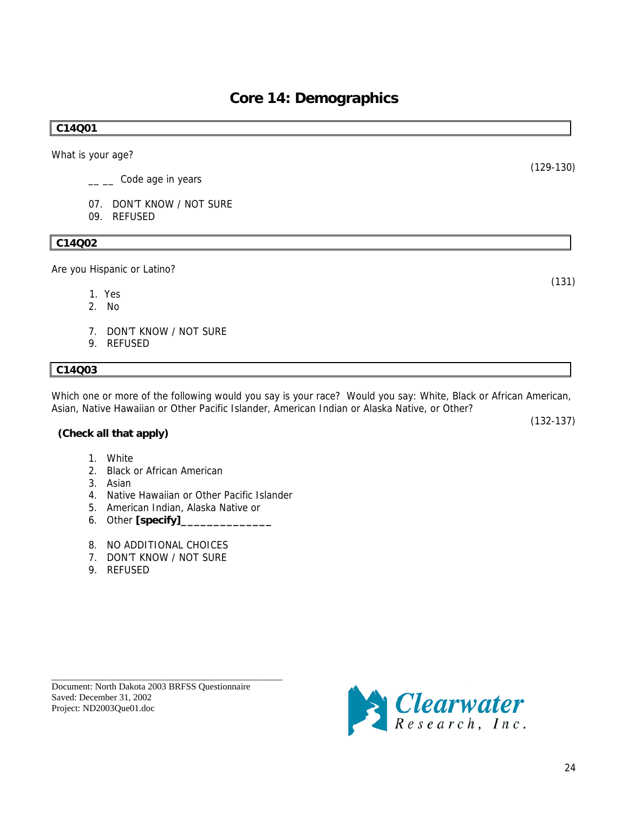(131)

(129-130)

(132-137)

## **Core 14: Demographics**

### <span id="page-23-0"></span>**C14Q01**

What is your age?

- \_\_ \_\_ Code age in years
- 07. DON'T KNOW / NOT SURE
- 09. REFUSED

### **C14Q02**

Are you Hispanic or Latino?

- 1. Yes
- 2. No
- 7. DON'T KNOW / NOT SURE
- 9. REFUSED

### **C14Q03**

Which one or more of the following would you say is your race? Would you say: White, Black or African American, Asian, Native Hawaiian or Other Pacific Islander, American Indian or Alaska Native, or Other?

### **(Check all that apply)**

- 1. White
- 2. Black or African American
- 3. Asian
- 4. Native Hawaiian or Other Pacific Islander
- 5. American Indian, Alaska Native or
- 6. Other **[specify]\_\_\_\_\_\_\_\_\_\_\_\_\_\_**
- 8. NO ADDITIONAL CHOICES
- 7. DON'T KNOW / NOT SURE
- 9. REFUSED



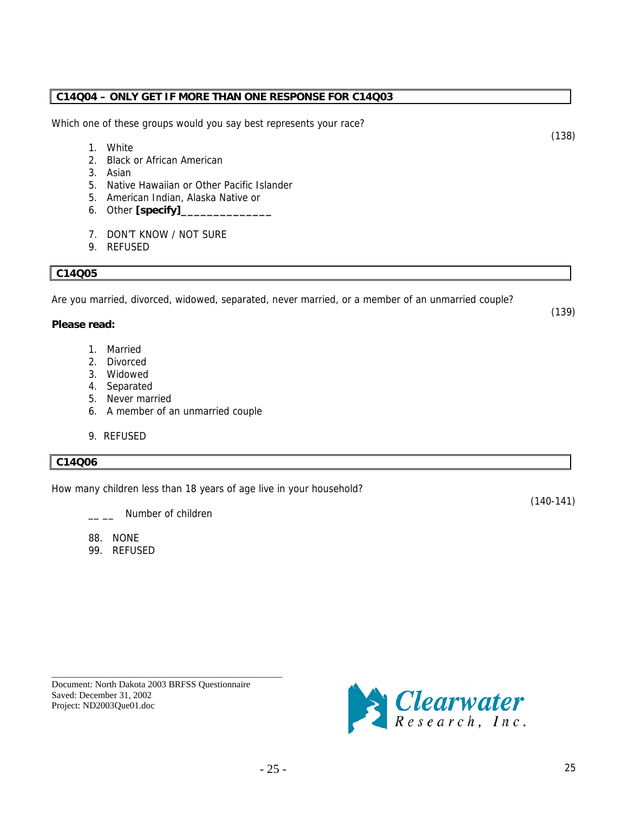# $-25$  - 25

#### \_\_\_\_\_\_\_\_\_\_\_\_\_\_\_\_\_\_\_\_\_\_\_\_\_\_\_\_\_\_\_\_\_\_\_\_\_\_\_\_\_\_\_\_\_\_\_\_\_\_ Document: North Dakota 2003 BRFSS Questionnaire Saved: December 31, 2002 Project: ND2003Que01.doc

### **C14Q04 – ONLY GET IF MORE THAN ONE RESPONSE FOR C14Q03**

Which one of these groups would you say best represents your race?

- 1. White
- 2. Black or African American
- 3. Asian
- 5. Native Hawaiian or Other Pacific Islander
- 5. American Indian, Alaska Native or
- 6. Other **[specify]\_\_\_\_\_\_\_\_\_\_\_\_\_\_**
- 7. DON'T KNOW / NOT SURE
- 9. REFUSED

### **C14Q05**

Are you married, divorced, widowed, separated, never married, or a member of an unmarried couple?

### **Please read:**

- 1. Married
- 2. Divorced
- 3. Widowed
- 4. Separated
- 5. Never married
- 6. A member of an unmarried couple
- 9. REFUSED

### **C14Q06**

How many children less than 18 years of age live in your household?

Number of children

88. NONE

99. REFUSED

*S* Clearwater

(140-141)

(138)

(139)

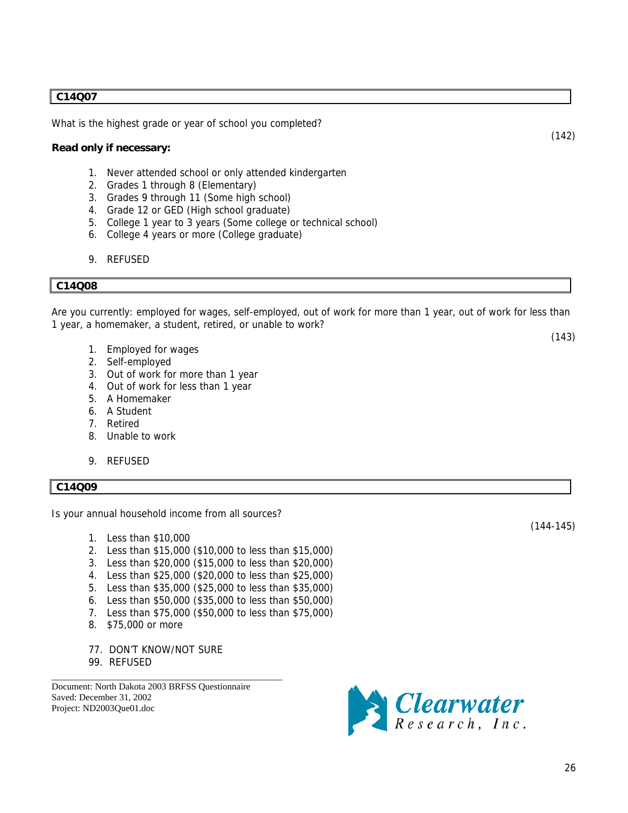### **C14Q07**

What is the highest grade or year of school you completed?

#### **Read only if necessary:**

- 1. Never attended school or only attended kindergarten
- 2. Grades 1 through 8 (Elementary)
- 3. Grades 9 through 11 (Some high school)
- 4. Grade 12 or GED (High school graduate)
- 5. College 1 year to 3 years (Some college or technical school)
- 6. College 4 years or more (College graduate)
- 9. REFUSED

### **C14Q08**

Are you currently: employed for wages, self-employed, out of work for more than 1 year, out of work for less than 1 year, a homemaker, a student, retired, or unable to work?

- 1. Employed for wages
- 2. Self-employed
- 3. Out of work for more than 1 year
- 4. Out of work for less than 1 year
- 5. A Homemaker
- 6. A Student
- 7. Retired
- 8. Unable to work
- 9. REFUSED

### **C14Q09**

Is your annual household income from all sources?

- 1. Less than \$10,000
- 2. Less than \$15,000 (\$10,000 to less than \$15,000)
- 3. Less than \$20,000 (\$15,000 to less than \$20,000)
- 4. Less than \$25,000 (\$20,000 to less than \$25,000)
- 5. Less than \$35,000 (\$25,000 to less than \$35,000)
- 6. Less than \$50,000 (\$35,000 to less than \$50,000)
- 7. Less than \$75,000 (\$50,000 to less than \$75,000)
- 8. \$75,000 or more
- 77. DON'T KNOW/NOT SURE

\_\_\_\_\_\_\_\_\_\_\_\_\_\_\_\_\_\_\_\_\_\_\_\_\_\_\_\_\_\_\_\_\_\_\_\_\_\_\_\_\_\_\_\_\_\_\_\_\_\_

99. REFUSED

Document: North Dakota 2003 BRFSS Questionnaire Saved: December 31, 2002 Project: ND2003Que01.doc



(144-145)

(142)

(143)

26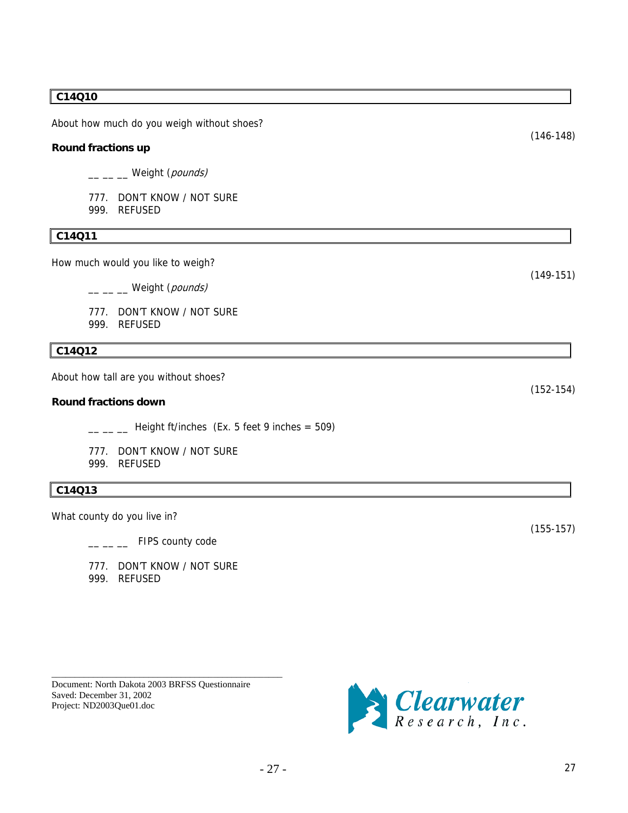### **C14Q10**

About how much do you weigh without shoes?

### **Round fractions up**

\_\_ \_ \_ Weight (pounds)

777. DON'T KNOW / NOT SURE 999. REFUSED

### **C14Q11**

How much would you like to weigh?

\_\_ \_ \_ Weight (pounds)

777. DON'T KNOW / NOT SURE 999. REFUSED

### **C14Q12**

About how tall are you without shoes?

#### **Round fractions down**

 $\frac{1}{2}$  Height ft/inches (Ex. 5 feet 9 inches = 509)

777. DON'T KNOW / NOT SURE 999. REFUSED

### **C14Q13**

What county do you live in?

 $\frac{1}{2}$  FIPS county code

777. DON'T KNOW / NOT SURE 999. REFUSED

Document: North Dakota 2003 BRFSS Questionnaire Saved: December 31, 2002 Project: ND2003Que01.doc

\_\_\_\_\_\_\_\_\_\_\_\_\_\_\_\_\_\_\_\_\_\_\_\_\_\_\_\_\_\_\_\_\_\_\_\_\_\_\_\_\_\_\_\_\_\_\_\_\_\_



 $\left|\textit{Clearwater}\right\rangle$ 

(152-154)

(155-157)

(146-148)

(149-151)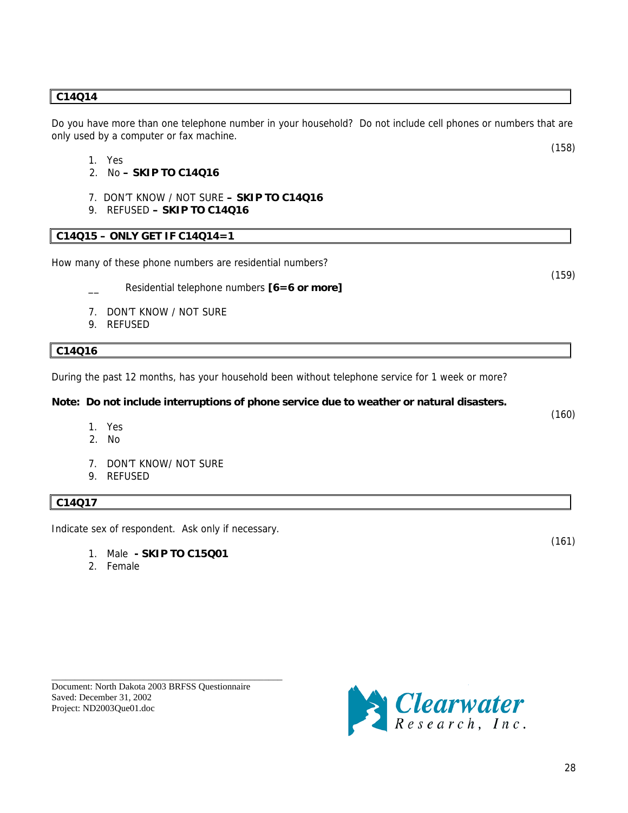### **C14Q14**

Do you have more than one telephone number in your household? Do not include cell phones or numbers that are only used by a computer or fax machine.

- 1. Yes
- 2. No **SKIP TO C14Q16**
- 7. DON'T KNOW / NOT SURE  **SKIP TO C14Q16**
- 9. REFUSED  **SKIP TO C14Q16**

### **C14Q15 – ONLY GET IF C14Q14=1**

How many of these phone numbers are residential numbers?

- Residential telephone numbers **[6=6 or more]**
- 7. DON'T KNOW / NOT SURE
- 9. REFUSED

### **C14Q16**

During the past 12 months, has your household been without telephone service for 1 week or more?

### **Note: Do not include interruptions of phone service due to weather or natural disasters.**

- 1. Yes
- 2. No
- 7. DON'T KNOW/ NOT SURE
- 9. REFUSED

### **C14Q17**

Indicate sex of respondent. Ask only if necessary.

- 1. Male  **SKIP TO C15Q01**
- 2. Female

\_\_\_\_\_\_\_\_\_\_\_\_\_\_\_\_\_\_\_\_\_\_\_\_\_\_\_\_\_\_\_\_\_\_\_\_\_\_\_\_\_\_\_\_\_\_\_\_\_\_



(158)

(159)

(160)

(161)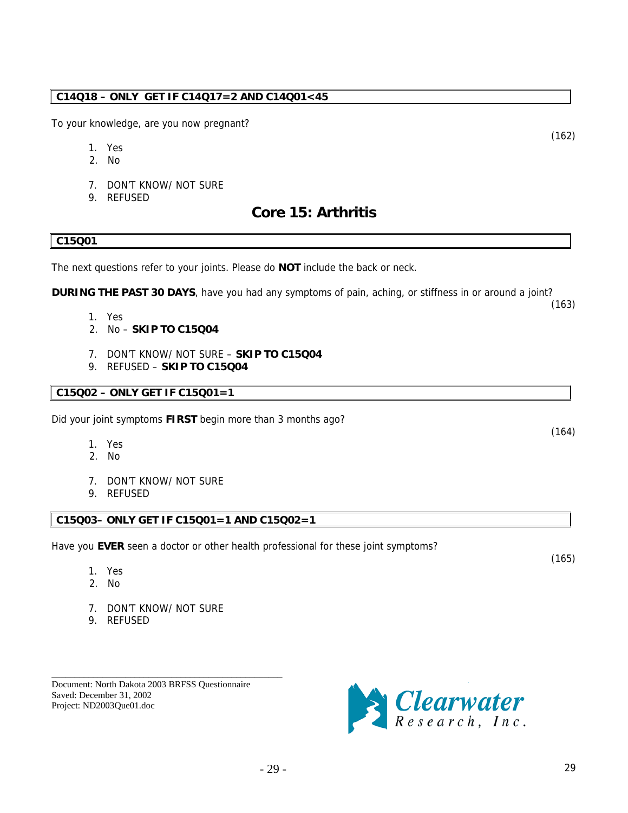### <span id="page-28-0"></span>**C14Q18 – ONLY GET IF C14Q17=2 AND C14Q01<45**

To your knowledge, are you now pregnant?

- 1. Yes
- 2. No
- 7. DON'T KNOW/ NOT SURE
- 9. REFUSED

### **Core 15: Arthritis**

### **C15Q01**

The next questions refer to your joints. Please do **NOT** include the back or neck.

**DURING THE PAST 30 DAYS**, have you had any symptoms of pain, aching, or stiffness in or around a joint?

- 1. Yes
- 2. No **SKIP TO C15Q04**
- 7. DON'T KNOW/ NOT SURE **SKIP TO C15Q04**
- 9. REFUSED **SKIP TO C15Q04**

### **C15Q02 – ONLY GET IF C15Q01=1**

Did your joint symptoms **FIRST** begin more than 3 months ago?

- 1. Yes
- 2. No
- 7. DON'T KNOW/ NOT SURE
- 9. REFUSED

### **C15Q03– ONLY GET IF C15Q01=1 AND C15Q02=1**

Have you **EVER** seen a doctor or other health professional for these joint symptoms?

- 1. Yes
- 2. No
- 7. DON'T KNOW/ NOT SURE
- 9. REFUSED

Document: North Dakota 2003 BRFSS Questionnaire Saved: December 31, 2002 Project: ND2003Que01.doc

\_\_\_\_\_\_\_\_\_\_\_\_\_\_\_\_\_\_\_\_\_\_\_\_\_\_\_\_\_\_\_\_\_\_\_\_\_\_\_\_\_\_\_\_\_\_\_\_\_\_



- 29 - 29

(164)

(163)

(165)

(162)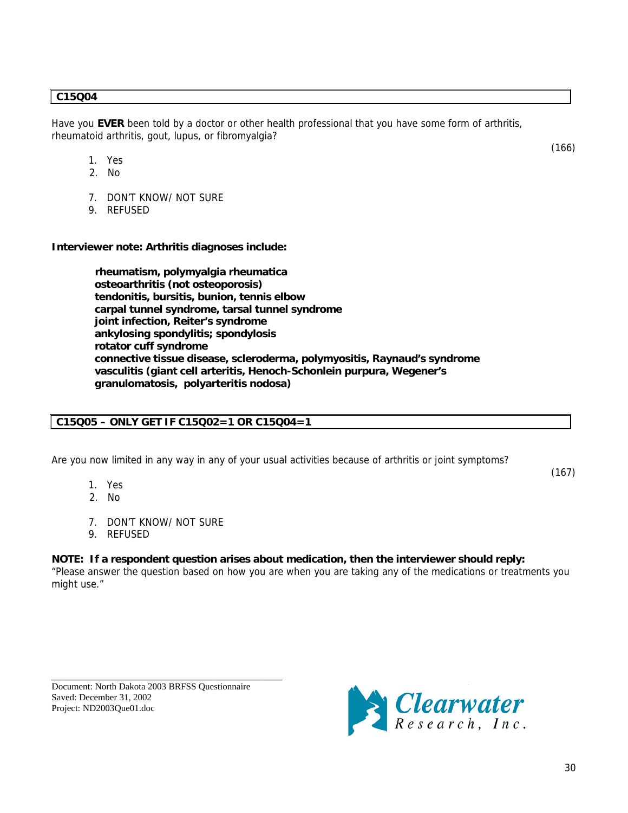### **C15Q04**

Have you **EVER** been told by a doctor or other health professional that you have some form of arthritis, rheumatoid arthritis, gout, lupus, or fibromyalgia?

- 1. Yes
- 2. No
- 7. DON'T KNOW/ NOT SURE
- 9. REFUSED

**Interviewer note: Arthritis diagnoses include:**

 **rheumatism, polymyalgia rheumatica osteoarthritis (not osteoporosis) tendonitis, bursitis, bunion, tennis elbow carpal tunnel syndrome, tarsal tunnel syndrome joint infection, Reiter's syndrome ankylosing spondylitis; spondylosis rotator cuff syndrome connective tissue disease, scleroderma, polymyositis, Raynaud's syndrome vasculitis (giant cell arteritis, Henoch-Schonlein purpura, Wegener's granulomatosis, polyarteritis nodosa)** 

### **C15Q05 – ONLY GET IF C15Q02=1 OR C15Q04=1**

Are you now limited in any way in any of your usual activities because of arthritis or joint symptoms?

- 1. Yes
- 2. No
- 7. DON'T KNOW/ NOT SURE
- 9. REFUSED

### **NOTE: If a respondent question arises about medication, then the interviewer should reply:**

"Please answer the question based on how you are when you are taking any of the medications or treatments you might use."

\_\_\_\_\_\_\_\_\_\_\_\_\_\_\_\_\_\_\_\_\_\_\_\_\_\_\_\_\_\_\_\_\_\_\_\_\_\_\_\_\_\_\_\_\_\_\_\_\_\_ Document: North Dakota 2003 BRFSS Questionnaire Saved: December 31, 2002 Project: ND2003Que01.doc



(166)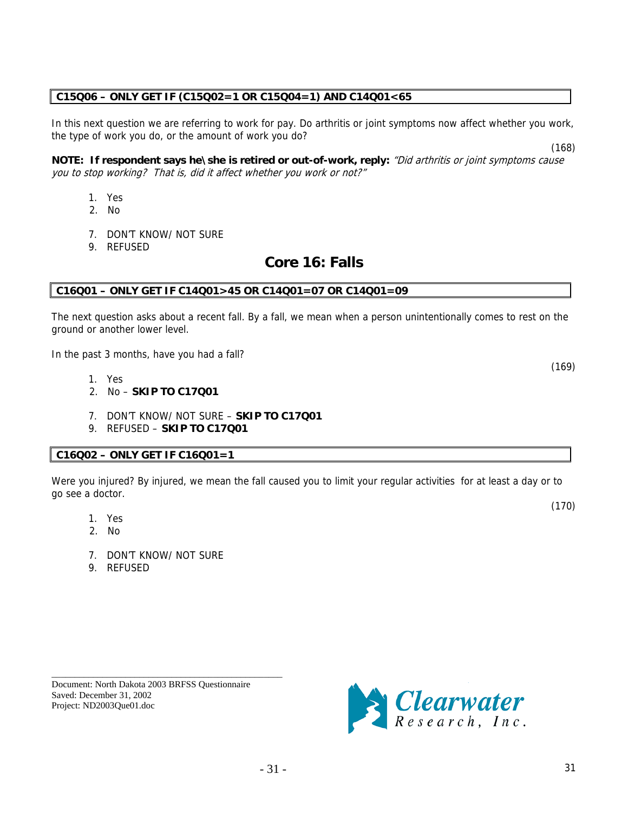# $-31$  - 31

#### \_\_\_\_\_\_\_\_\_\_\_\_\_\_\_\_\_\_\_\_\_\_\_\_\_\_\_\_\_\_\_\_\_\_\_\_\_\_\_\_\_\_\_\_\_\_\_\_\_\_ Document: North Dakota 2003 BRFSS Questionnaire Saved: December 31, 2002 Project: ND2003Que01.doc

the type of work you do, or the amount of work you do? (168) **NOTE: If respondent says he\she is retired or out-of-work, reply:** "Did arthritis or joint symptoms cause

In this next question we are referring to work for pay. Do arthritis or joint symptoms now affect whether you work,

you to stop working? That is, did it affect whether you work or not?"

- 1. Yes
- 2. No
- 7. DON'T KNOW/ NOT SURE
- 9. REFUSED

### **Core 16: Falls**

### **C16Q01 – ONLY GET IF C14Q01>45 OR C14Q01=07 OR C14Q01=09**

<span id="page-30-0"></span>**C15Q06 – ONLY GET IF (C15Q02=1 OR C15Q04=1) AND C14Q01<65** 

The next question asks about a recent fall. By a fall, we mean when a person unintentionally comes to rest on the ground or another lower level.

In the past 3 months, have you had a fall?

- 1. Yes
- 2. No **SKIP TO C17Q01**
- 7. DON'T KNOW/ NOT SURE **SKIP TO C17Q01**
- 9. REFUSED **SKIP TO C17Q01**

### **C16Q02 – ONLY GET IF C16Q01=1**

Were you injured? By injured, we mean the fall caused you to limit your regular activities for at least a day or to go see a doctor.

- 1. Yes
- 2. No
- 7. DON'T KNOW/ NOT SURE
- 9. REFUSED

(169)

(170)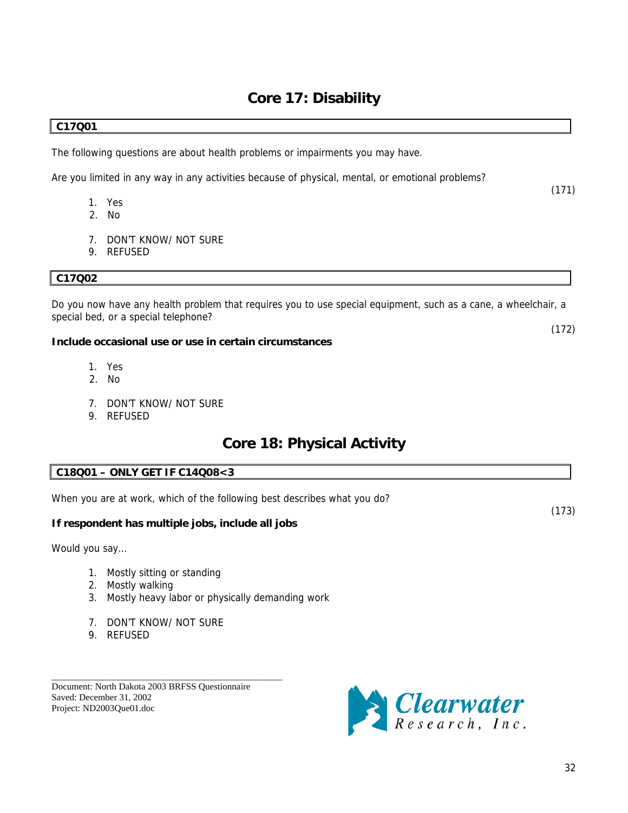### **Core 17: Disability**

### <span id="page-31-0"></span>**C17Q01**

The following questions are about health problems or impairments you may have.

Are you limited in any way in any activities because of physical, mental, or emotional problems?

- 1. Yes
- 2. No
- 7. DON'T KNOW/ NOT SURE
- 9. REFUSED

### **C17Q02**

Do you now have any health problem that requires you to use special equipment, such as a cane, a wheelchair, a special bed, or a special telephone?

### **Include occasional use or use in certain circumstances**

- 1. Yes
- 2. No
- 7. DON'T KNOW/ NOT SURE
- 9. REFUSED

### **Core 18: Physical Activity**

### **C18Q01 – ONLY GET IF C14Q08<3**

When you are at work, which of the following best describes what you do?

### **If respondent has multiple jobs, include all jobs**

Would you say…

- 1. Mostly sitting or standing
- 2. Mostly walking
- 3. Mostly heavy labor or physically demanding work
- 7. DON'T KNOW/ NOT SURE
- 9. REFUSED

Document: North Dakota 2003 BRFSS Questionnaire Saved: December 31, 2002 Project: ND2003Que01.doc

\_\_\_\_\_\_\_\_\_\_\_\_\_\_\_\_\_\_\_\_\_\_\_\_\_\_\_\_\_\_\_\_\_\_\_\_\_\_\_\_\_\_\_\_\_\_\_\_\_\_



(172)

(171)

(173)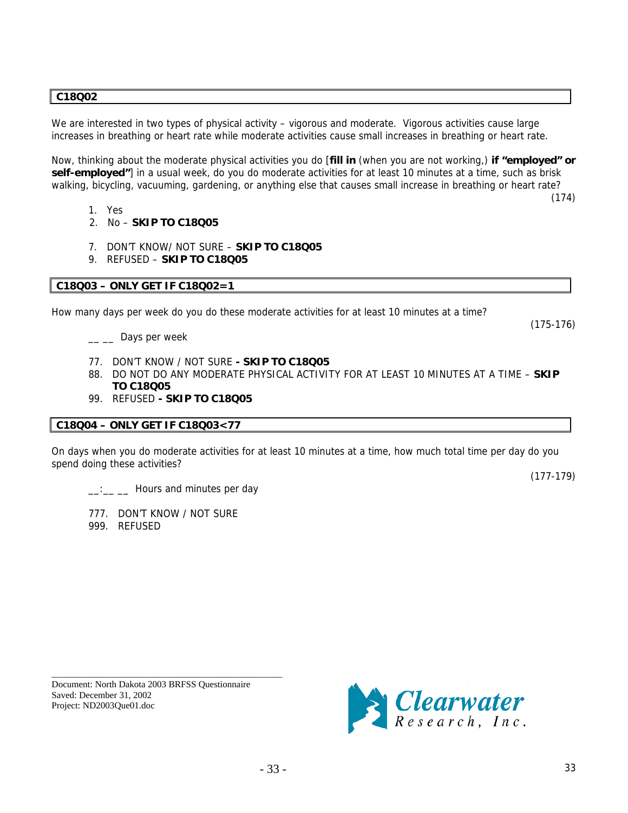### **C18Q02**

We are interested in two types of physical activity – vigorous and moderate. Vigorous activities cause large increases in breathing or heart rate while moderate activities cause small increases in breathing or heart rate.

Now, thinking about the moderate physical activities you do [**fill in** (when you are not working,) **if "employed" or self-employed"**] in a usual week, do you do moderate activities for at least 10 minutes at a time, such as brisk walking, bicycling, vacuuming, gardening, or anything else that causes small increase in breathing or heart rate?

- 1. Yes
- 2. No **SKIP TO C18Q05**
- 7. DON'T KNOW/ NOT SURE **SKIP TO C18Q05**
- 9. REFUSED **SKIP TO C18Q05**

### **C18Q03 – ONLY GET IF C18Q02=1**

How many days per week do you do these moderate activities for at least 10 minutes at a time?

 $\equiv$   $\equiv$  Days per week

- 77. DON'T KNOW / NOT SURE  **SKIP TO C18Q05**
- 88. DO NOT DO ANY MODERATE PHYSICAL ACTIVITY FOR AT LEAST 10 MINUTES AT A TIME **SKIP TO C18Q05**
- 99. REFUSED  **SKIP TO C18Q05**

#### **C18Q04 – ONLY GET IF C18Q03<77**

On days when you do moderate activities for at least 10 minutes at a time, how much total time per day do you spend doing these activities?

 $\frac{1}{2}$   $\frac{1}{2}$  Hours and minutes per day

777. DON'T KNOW / NOT SURE

999. REFUSED

Document: North Dakota 2003 BRFSS Questionnaire Saved: December 31, 2002 Project: ND2003Que01.doc

\_\_\_\_\_\_\_\_\_\_\_\_\_\_\_\_\_\_\_\_\_\_\_\_\_\_\_\_\_\_\_\_\_\_\_\_\_\_\_\_\_\_\_\_\_\_\_\_\_\_



(174)

(175-176)

(177-179)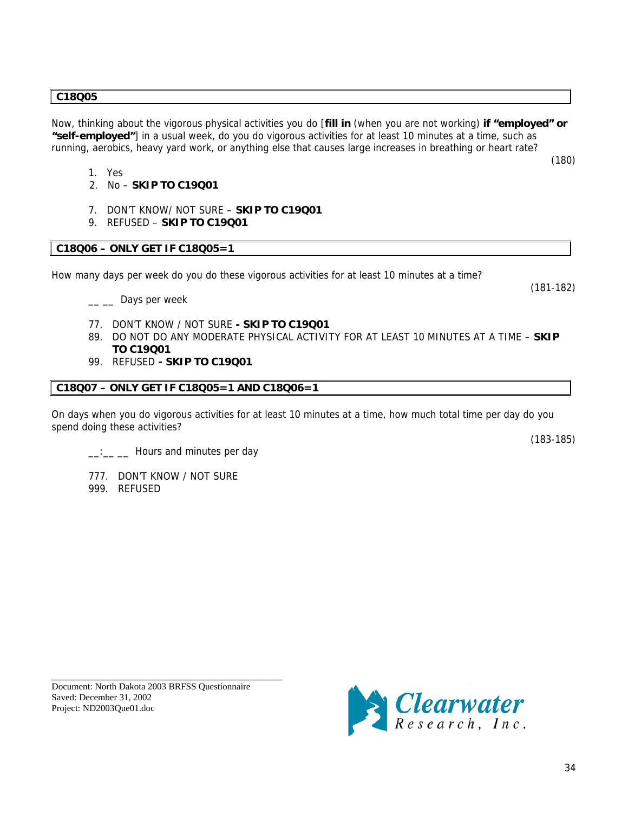#### **C18Q05**

Now, thinking about the vigorous physical activities you do [**fill in** (when you are not working) **if "employed" or "self-employed"**] in a usual week, do you do vigorous activities for at least 10 minutes at a time, such as running, aerobics, heavy yard work, or anything else that causes large increases in breathing or heart rate?

- 1. Yes
- 2. No **SKIP TO C19Q01**
- 7. DON'T KNOW/ NOT SURE **SKIP TO C19Q01**
- 9. REFUSED **SKIP TO C19Q01**

### **C18Q06 – ONLY GET IF C18Q05=1**

How many days per week do you do these vigorous activities for at least 10 minutes at a time?

<sub>\_\_</sub> \_\_ Days per week

- 77. DON'T KNOW / NOT SURE  **SKIP TO C19Q01**
- 89. DO NOT DO ANY MODERATE PHYSICAL ACTIVITY FOR AT LEAST 10 MINUTES AT A TIME **SKIP TO C19Q01**
- 99. REFUSED  **SKIP TO C19Q01**

#### **C18Q07 – ONLY GET IF C18Q05=1 AND C18Q06=1**

On days when you do vigorous activities for at least 10 minutes at a time, how much total time per day do you spend doing these activities?

(183-185)

(181-182)

(180)

- $\frac{1}{\sqrt{2}}$   $\frac{1}{\sqrt{2}}$  Hours and minutes per day
- 777. DON'T KNOW / NOT SURE 999. REFUSED

Document: North Dakota 2003 BRFSS Questionnaire Saved: December 31, 2002 Project: ND2003Que01.doc

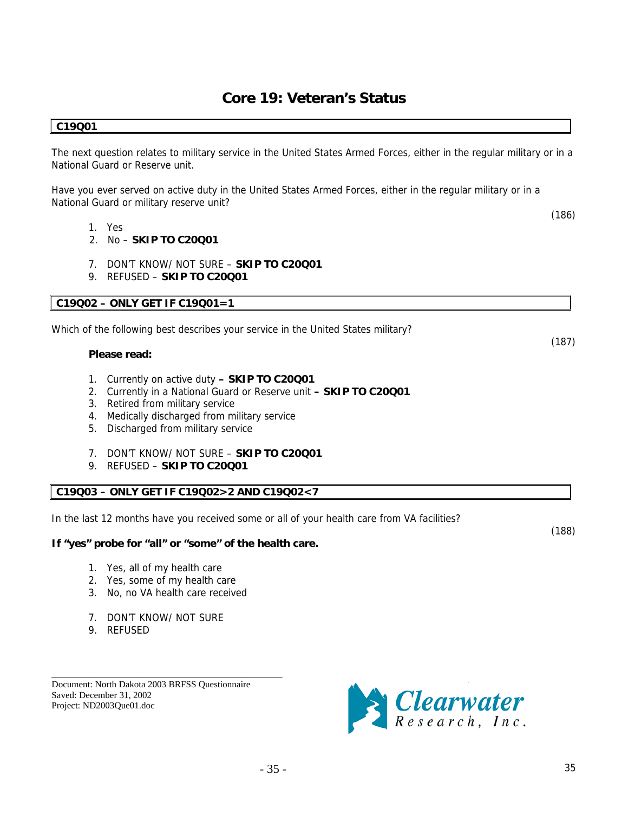### **Core 19: Veteran's Status**

### <span id="page-34-0"></span>**C19Q01**

The next question relates to military service in the United States Armed Forces, either in the regular military or in a National Guard or Reserve unit.

Have you ever served on active duty in the United States Armed Forces, either in the regular military or in a National Guard or military reserve unit?

- 1. Yes
- 2. No **SKIP TO C20Q01**
- 7. DON'T KNOW/ NOT SURE **SKIP TO C20Q01**
- 9. REFUSED **SKIP TO C20Q01**

#### **C19Q02 – ONLY GET IF C19Q01=1**

Which of the following best describes your service in the United States military?

#### **Please read:**

- 1. Currently on active duty  **SKIP TO C20Q01**
- 2. Currently in a National Guard or Reserve unit  **SKIP TO C20Q01**
- 3. Retired from military service
- 4. Medically discharged from military service
- 5. Discharged from military service
- 7. DON'T KNOW/ NOT SURE **SKIP TO C20Q01**
- 9. REFUSED **SKIP TO C20Q01**

### **C19Q03 – ONLY GET IF C19Q02>2 AND C19Q02<7**

In the last 12 months have you received some or all of your health care from VA facilities?

### **If "yes" probe for "all" or "some" of the health care.**

- 1. Yes, all of my health care
- 2. Yes, some of my health care
- 3. No, no VA health care received

\_\_\_\_\_\_\_\_\_\_\_\_\_\_\_\_\_\_\_\_\_\_\_\_\_\_\_\_\_\_\_\_\_\_\_\_\_\_\_\_\_\_\_\_\_\_\_\_\_\_

- 7. DON'T KNOW/ NOT SURE
- 9. REFUSED

Document: North Dakota 2003 BRFSS Questionnaire Saved: December 31, 2002 Project: ND2003Que01.doc



(186)

(187)

(188)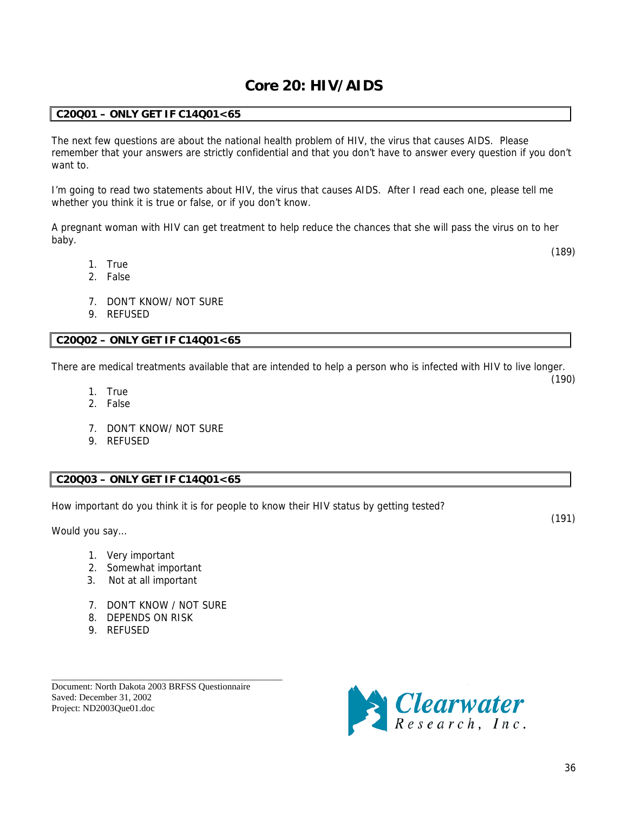### **Core 20: HIV/AIDS**

### <span id="page-35-0"></span>**C20Q01 – ONLY GET IF C14Q01<65**

The next few questions are about the national health problem of HIV, the virus that causes AIDS. Please remember that your answers are strictly confidential and that you don't have to answer every question if you don't want to.

I'm going to read two statements about HIV, the virus that causes AIDS. After I read each one, please tell me whether you think it is true or false, or if you don't know.

A pregnant woman with HIV can get treatment to help reduce the chances that she will pass the virus on to her baby.

1. True

(189)

(190)

- 2. False
- 7. DON'T KNOW/ NOT SURE
- 9. REFUSED

### **C20Q02 – ONLY GET IF C14Q01<65**

There are medical treatments available that are intended to help a person who is infected with HIV to live longer.

- 1. True
- 2. False
- 7. DON'T KNOW/ NOT SURE
- 9. REFUSED

### **C20Q03 – ONLY GET IF C14Q01<65**

How important do you think it is for people to know their HIV status by getting tested?

Would you say…

(191)

- 1. Very important
- 2. Somewhat important
- 3. Not at all important
- 7. DON'T KNOW / NOT SURE
- 8. DEPENDS ON RISK
- 9. REFUSED

Document: North Dakota 2003 BRFSS Questionnaire Saved: December 31, 2002 Project: ND2003Que01.doc

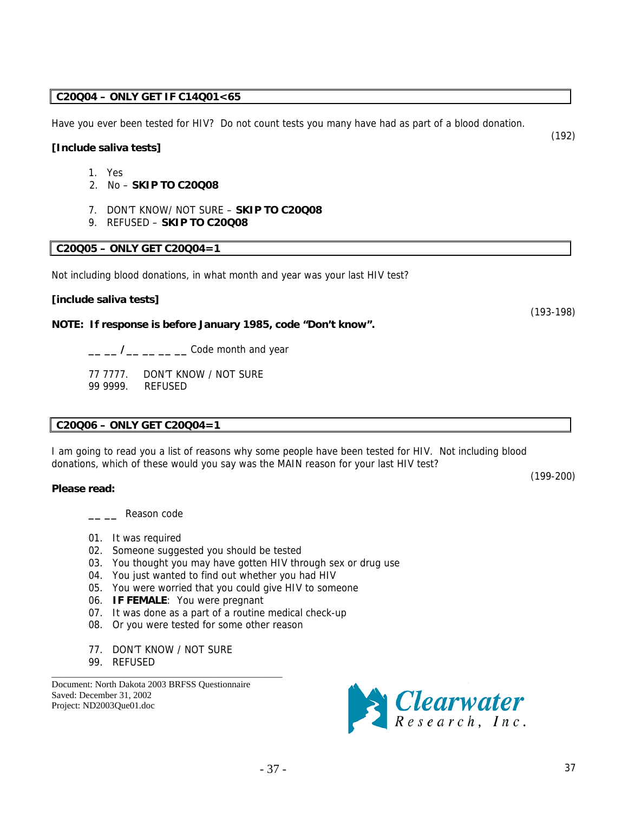### **C20Q04 – ONLY GET IF C14Q01<65**

Have you ever been tested for HIV? Do not count tests you many have had as part of a blood donation.

### **[Include saliva tests]**

- 1. Yes
- 2. No **SKIP TO C20Q08**
- 7. DON'T KNOW/ NOT SURE **SKIP TO C20Q08**
- 9. REFUSED **SKIP TO C20Q08**

### **C20Q05 – ONLY GET C20Q04=1**

Not including blood donations, in what month and year was your last HIV test?

### **[include saliva tests]**

### **NOTE: If response is before January 1985, code "Don't know".**

**\_\_ \_\_ /\_\_ \_\_ \_\_ \_\_** Code month and year

77 7777.DON'T KNOW / NOT SURE 99 9999. REFUSED

### **C20Q06 – ONLY GET C20Q04=1**

I am going to read you a list of reasons why some people have been tested for HIV. Not including blood donations, which of these would you say was the MAIN reason for your last HIV test?

#### **Please read:**

**\_\_ \_\_** Reason code

- 01. It was required
- 02. Someone suggested you should be tested
- 03. You thought you may have gotten HIV through sex or drug use
- 04. You just wanted to find out whether you had HIV
- 05. You were worried that you could give HIV to someone
- 06. **IF FEMALE**: You were pregnant
- 07. It was done as a part of a routine medical check-up
- 08. Or you were tested for some other reason
- 77. DON'T KNOW / NOT SURE

\_\_\_\_\_\_\_\_\_\_\_\_\_\_\_\_\_\_\_\_\_\_\_\_\_\_\_\_\_\_\_\_\_\_\_\_\_\_\_\_\_\_\_\_\_\_\_\_\_\_

99. REFUSED

Document: North Dakota 2003 BRFSS Questionnaire Saved: December 31, 2002 Project: ND2003Que01.doc



(193-198)

(192)

(199-200)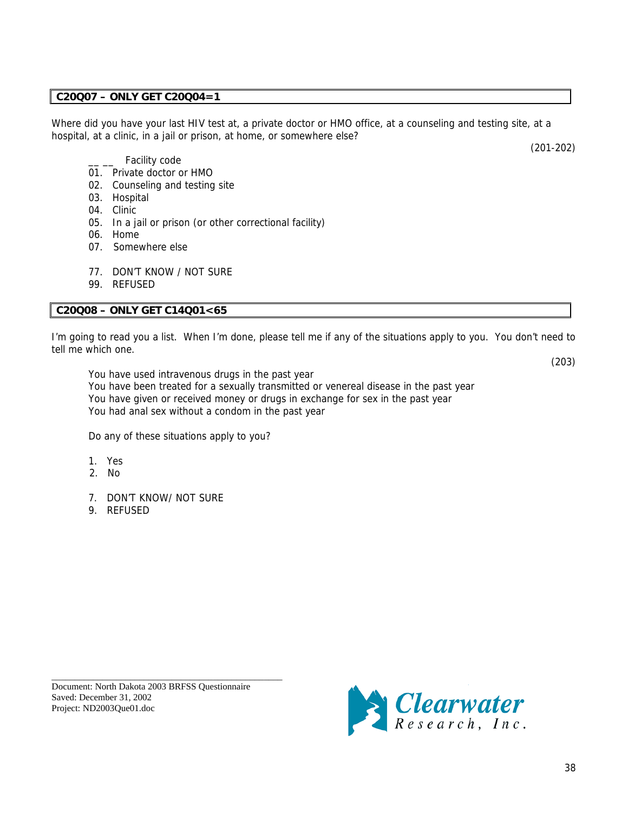### **C20Q07 – ONLY GET C20Q04=1**

Where did you have your last HIV test at, a private doctor or HMO office, at a counseling and testing site, at a hospital, at a clinic, in a jail or prison, at home, or somewhere else?

(201-202)

- Facility code
- 01. Private doctor or HMO
- 02. Counseling and testing site
- 03. Hospital
- 04. Clinic
- 05. In a jail or prison (or other correctional facility)
- 06. Home
- 07. Somewhere else
- 77. DON'T KNOW / NOT SURE
- 99. REFUSED

### **C20Q08 – ONLY GET C14Q01<65**

I'm going to read you a list. When I'm done, please tell me if any of the situations apply to you. You don't need to tell me which one.

(203)

You have used intravenous drugs in the past year You have been treated for a sexually transmitted or venereal disease in the past year You have given or received money or drugs in exchange for sex in the past year You had anal sex without a condom in the past year

Do any of these situations apply to you?

- 1. Yes
- 2. No
- 7. DON'T KNOW/ NOT SURE
- 9. REFUSED

Document: North Dakota 2003 BRFSS Questionnaire Saved: December 31, 2002 Project: ND2003Que01.doc

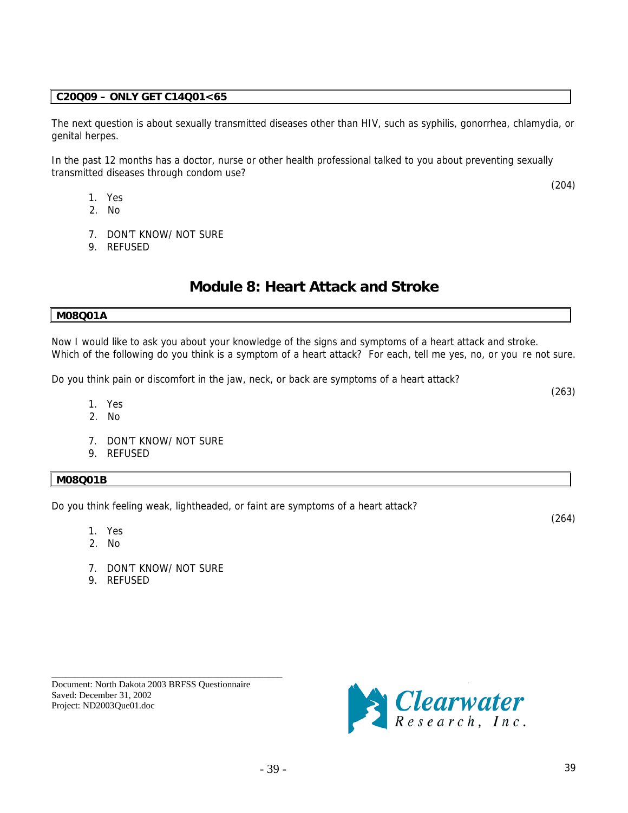### <span id="page-38-0"></span>**C20Q09 – ONLY GET C14Q01<65**

The next question is about sexually transmitted diseases other than HIV, such as syphilis, gonorrhea, chlamydia, or genital herpes.

In the past 12 months has a doctor, nurse or other health professional talked to you about preventing sexually transmitted diseases through condom use?

- 1. Yes
- 2. No
- 7. DON'T KNOW/ NOT SURE
- 9. REFUSED

### **Module 8: Heart Attack and Stroke**

#### **M08Q01A**

Now I would like to ask you about your knowledge of the signs and symptoms of a heart attack and stroke. Which of the following do you think is a symptom of a heart attack? For each, tell me yes, no, or you re not sure.

Do you think pain or discomfort in the jaw, neck, or back are symptoms of a heart attack?

- 1. Yes
- 2. No
- 7. DON'T KNOW/ NOT SURE
- 9. REFUSED

### **M08Q01B**

Do you think feeling weak, lightheaded, or faint are symptoms of a heart attack?

- 1. Yes
- 2. No
- 7. DON'T KNOW/ NOT SURE
- 9. REFUSED

Document: North Dakota 2003 BRFSS Questionnaire Saved: December 31, 2002 Project: ND2003Que01.doc

\_\_\_\_\_\_\_\_\_\_\_\_\_\_\_\_\_\_\_\_\_\_\_\_\_\_\_\_\_\_\_\_\_\_\_\_\_\_\_\_\_\_\_\_\_\_\_\_\_\_



(264)

(263)

(204)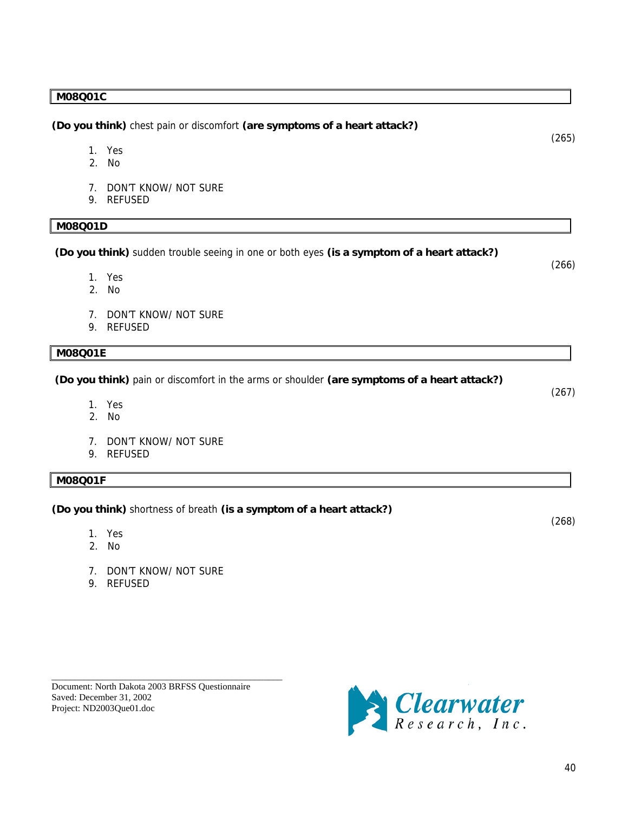### **M08Q01C**

**(Do you think)** chest pain or discomfort **(are symptoms of a heart attack?)**

- 1. Yes
- 2. No
- 7. DON'T KNOW/ NOT SURE
- 9. REFUSED

### **M08Q01D**

 **(Do you think)** sudden trouble seeing in one or both eyes **(is a symptom of a heart attack?)** (266)

- 1. Yes
- 2. No
- 7. DON'T KNOW/ NOT SURE
- 9. REFUSED

### **M08Q01E**

 **(Do you think)** pain or discomfort in the arms or shoulder **(are symptoms of a heart attack?)**

- 1. Yes
- 2. No
- 7. DON'T KNOW/ NOT SURE
- 9. REFUSED

### **M08Q01F**

**(Do you think)** shortness of breath **(is a symptom of a heart attack?)**

- 1. Yes
- 2. No
- 7. DON'T KNOW/ NOT SURE
- 9. REFUSED





(265)

(267)

(268)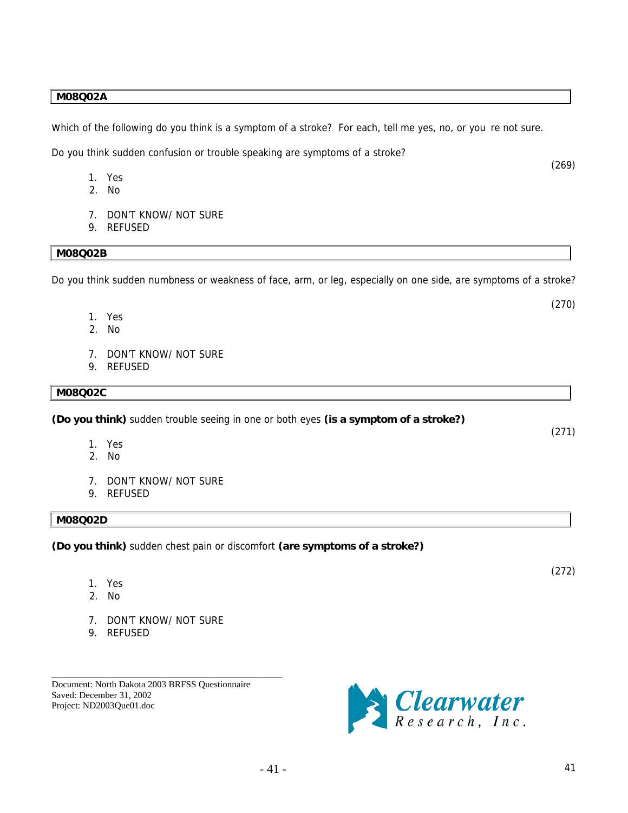### **M08Q02A**

Which of the following do you think is a symptom of a stroke? For each, tell me yes, no, or you re not sure.

Do you think sudden confusion or trouble speaking are symptoms of a stroke?

- 1. Yes
- 2. No
- 7. DON'T KNOW/ NOT SURE
- 9. REFUSED

#### **M08Q02B**

Do you think sudden numbness or weakness of face, arm, or leg, especially on one side, are symptoms of a stroke?

- 1. Yes
- 2. No
- 7. DON'T KNOW/ NOT SURE
- 9. REFUSED

#### **M08Q02C**

**(Do you think)** sudden trouble seeing in one or both eyes **(is a symptom of a stroke?)** 

- 1. Yes
- 2. No
- 7. DON'T KNOW/ NOT SURE
- 9. REFUSED

### **M08Q02D**

**(Do you think)** sudden chest pain or discomfort **(are symptoms of a stroke?)** 

- 1. Yes
- 2. No
- 7. DON'T KNOW/ NOT SURE
- 9. REFUSED

Document: North Dakota 2003 BRFSS Questionnaire Saved: December 31, 2002 Project: ND2003Que01.doc

\_\_\_\_\_\_\_\_\_\_\_\_\_\_\_\_\_\_\_\_\_\_\_\_\_\_\_\_\_\_\_\_\_\_\_\_\_\_\_\_\_\_\_\_\_\_\_\_\_\_



(271)

(272)

(269)

(270)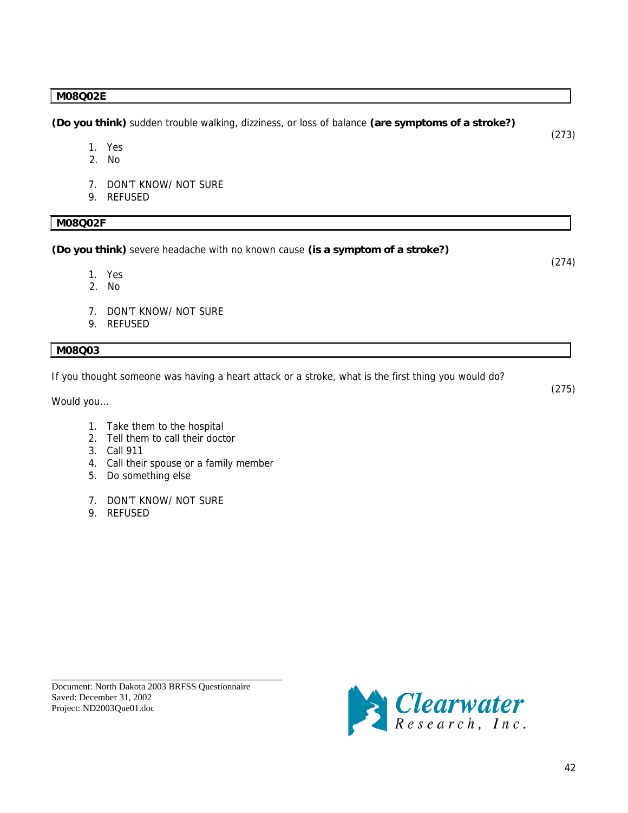### **M08Q02E**

**(Do you think)** sudden trouble walking, dizziness, or loss of balance **(are symptoms of a stroke?)** (273)

- 1. Yes
- 2. No
- 7. DON'T KNOW/ NOT SURE
- 9. REFUSED

### **M08Q02F**

**(Do you think)** severe headache with no known cause **(is a symptom of a stroke?)**

- 1. Yes
- 2. No
- 7. DON'T KNOW/ NOT SURE
- 9. REFUSED

### **M08Q03**

If you thought someone was having a heart attack or a stroke, what is the first thing you would do?

Would you…

- 1. Take them to the hospital
- 2. Tell them to call their doctor
- 3. Call 911
- 4. Call their spouse or a family member
- 5. Do something else
- 7. DON'T KNOW/ NOT SURE
- 9. REFUSED

Document: North Dakota 2003 BRFSS Questionnaire Saved: December 31, 2002 Project: ND2003Que01.doc

\_\_\_\_\_\_\_\_\_\_\_\_\_\_\_\_\_\_\_\_\_\_\_\_\_\_\_\_\_\_\_\_\_\_\_\_\_\_\_\_\_\_\_\_\_\_\_\_\_\_



(274)

(275)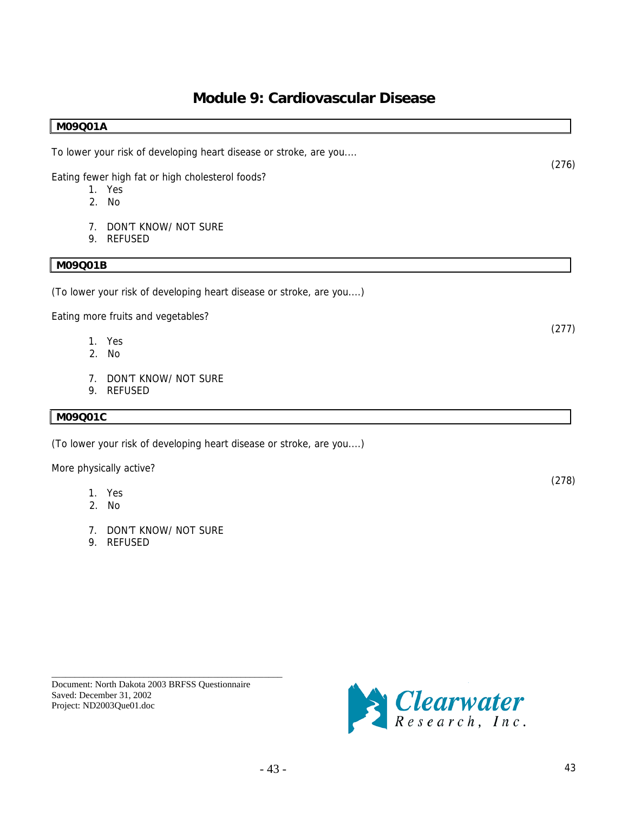### **Module 9: Cardiovascular Disease**

### <span id="page-42-0"></span>**M09Q01A**

To lower your risk of developing heart disease or stroke, are you....

Eating fewer high fat or high cholesterol foods?

- 1. Yes
- 2. No
- 7. DON'T KNOW/ NOT SURE
- 9. REFUSED

### **M09Q01B**

(To lower your risk of developing heart disease or stroke, are you....)

Eating more fruits and vegetables?

- 1. Yes
- 2. No
- 7. DON'T KNOW/ NOT SURE
- 9. REFUSED

### **M09Q01C**

(To lower your risk of developing heart disease or stroke, are you....)

More physically active?

- 1. Yes
- 2. No
- 7. DON'T KNOW/ NOT SURE
- 9. REFUSED

Document: North Dakota 2003 BRFSS Questionnaire Saved: December 31, 2002 Project: ND2003Que01.doc

\_\_\_\_\_\_\_\_\_\_\_\_\_\_\_\_\_\_\_\_\_\_\_\_\_\_\_\_\_\_\_\_\_\_\_\_\_\_\_\_\_\_\_\_\_\_\_\_\_\_



(276)

(277)

(278)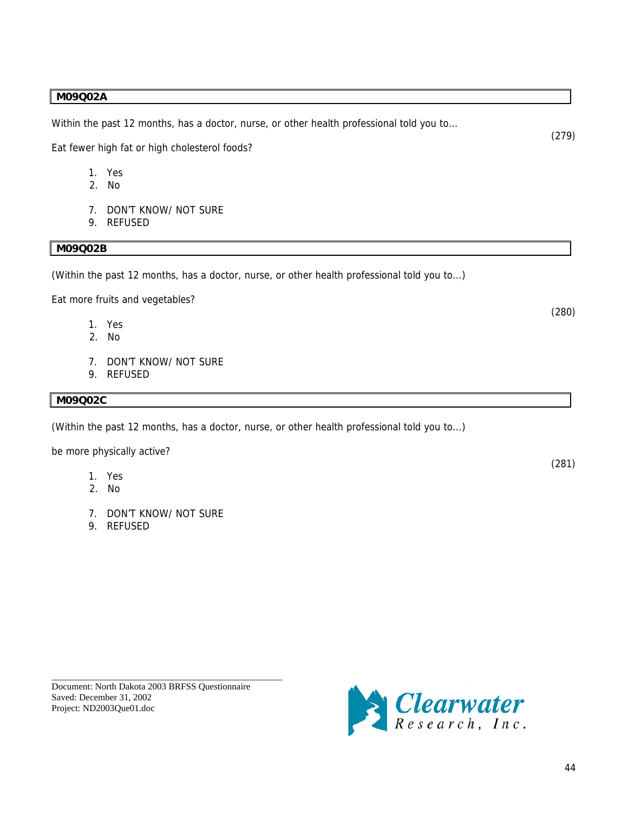### **M09Q02A**

Within the past 12 months, has a doctor, nurse, or other health professional told you to...

Eat fewer high fat or high cholesterol foods?

- 1. Yes
- 2. No
- 7. DON'T KNOW/ NOT SURE
- 9. REFUSED

### **M09Q02B**

(Within the past 12 months, has a doctor, nurse, or other health professional told you to...)

Eat more fruits and vegetables?

- 1. Yes
- 2. No
- 7. DON'T KNOW/ NOT SURE
- 9. REFUSED

### **M09Q02C**

(Within the past 12 months, has a doctor, nurse, or other health professional told you to...)

be more physically active?

- 1. Yes
- 2. No
- 7. DON'T KNOW/ NOT SURE
- 9. REFUSED

\_\_\_\_\_\_\_\_\_\_\_\_\_\_\_\_\_\_\_\_\_\_\_\_\_\_\_\_\_\_\_\_\_\_\_\_\_\_\_\_\_\_\_\_\_\_\_\_\_\_



(280)

(279)

(281)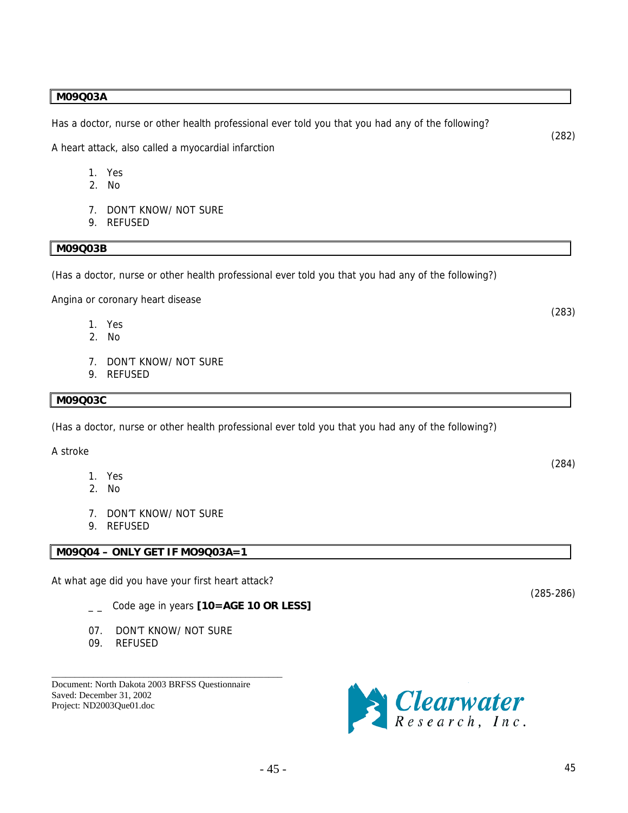### **M09Q03A**

Has a doctor, nurse or other health professional ever told you that you had any of the following?

A heart attack, also called a myocardial infarction

- 1. Yes
- 2. No
- 7. DON'T KNOW/ NOT SURE
- 9. REFUSED

### **M09Q03B**

(Has a doctor, nurse or other health professional ever told you that you had any of the following?)

Angina or coronary heart disease

- 1. Yes
- 2. No
- 7. DON'T KNOW/ NOT SURE
- 9. REFUSED

#### **M09Q03C**

(Has a doctor, nurse or other health professional ever told you that you had any of the following?)

A stroke

- 1. Yes
- 2. No
- 7. DON'T KNOW/ NOT SURE
- 9. REFUSED

### **M09Q04 – ONLY GET IF MO9Q03A=1**

At what age did you have your first heart attack?

- \_ \_ Code age in years **[10=AGE 10 OR LESS]**
- 07. DON'T KNOW/ NOT SURE

\_\_\_\_\_\_\_\_\_\_\_\_\_\_\_\_\_\_\_\_\_\_\_\_\_\_\_\_\_\_\_\_\_\_\_\_\_\_\_\_\_\_\_\_\_\_\_\_\_\_

09. REFUSED

Document: North Dakota 2003 BRFSS Questionnaire Saved: December 31, 2002 Project: ND2003Que01.doc



(283)

(284)

(285-286)

(282)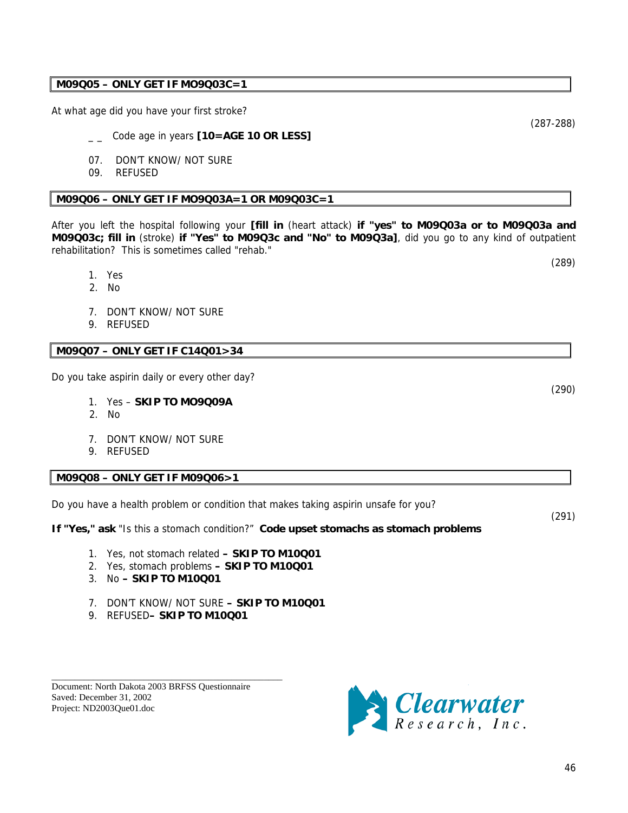(290)

(287-288)

**M09Q03c; fill in** (stroke) **if "Yes" to M09Q3c and "No" to M09Q3a]**, did you go to any kind of outpatient rehabilitation? This is sometimes called "rehab."

After you left the hospital following your **[fill in** (heart attack) **if "yes" to M09Q03a or to M09Q03a and** 

- 1. Yes
- 2. No
- 7. DON'T KNOW/ NOT SURE

At what age did you have your first stroke?

07. DON'T KNOW/ NOT SURE

9. REFUSED

09. REFUSED

### **M09Q07 – ONLY GET IF C14Q01>34**

Do you take aspirin daily or every other day?

- 1. Yes **SKIP TO MO9Q09A**
- 2. No
- 7. DON'T KNOW/ NOT SURE
- 9. REFUSED

### **M09Q08 – ONLY GET IF M09Q06>1**

Do you have a health problem or condition that makes taking aspirin unsafe for you?

**If "Yes," ask "Is this a stomach condition?" Code upset stomachs as stomach problems** 

- 1. Yes, not stomach related  **SKIP TO M10Q01**
- 2. Yes, stomach problems  **SKIP TO M10Q01**
- 3. No  **SKIP TO M10Q01**
- 7. DON'T KNOW/ NOT SURE  **SKIP TO M10Q01**
- 9. REFUSED **SKIP TO M10Q01**

\_\_\_\_\_\_\_\_\_\_\_\_\_\_\_\_\_\_\_\_\_\_\_\_\_\_\_\_\_\_\_\_\_\_\_\_\_\_\_\_\_\_\_\_\_\_\_\_\_\_

Document: North Dakota 2003 BRFSS Questionnaire Saved: December 31, 2002 Project: ND2003Que01.doc



### **M09Q05 – ONLY GET IF MO9Q03C=1**

Code age in years **[10=AGE 10 OR LESS]** 

**M09Q06 – ONLY GET IF MO9Q03A=1 OR M09Q03C=1** 

(289)

(291)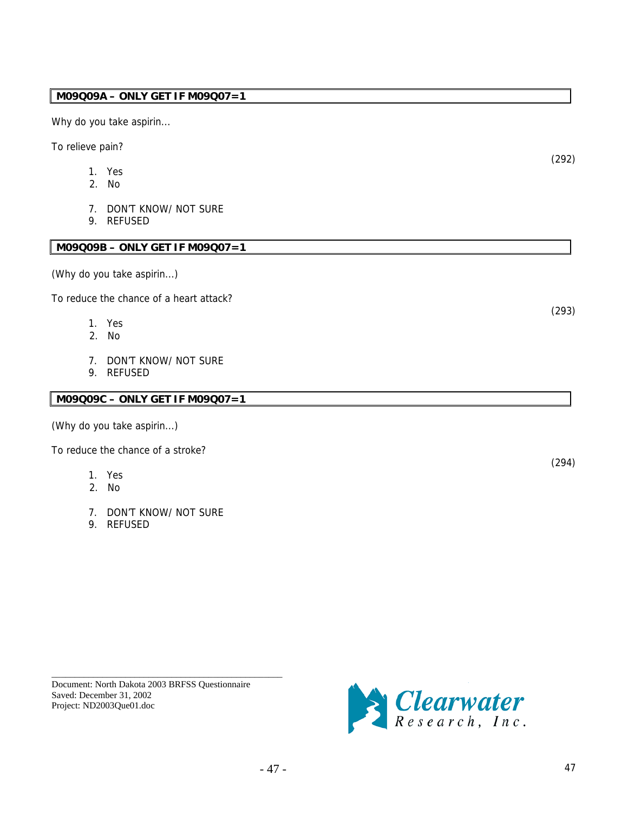### **M09Q09A – ONLY GET IF M09Q07=1**

Why do you take aspirin...

To relieve pain?

- 1. Yes
- 2. No
- 7. DON'T KNOW/ NOT SURE
- 9. REFUSED

### **M09Q09B – ONLY GET IF M09Q07=1**

(Why do you take aspirin...)

To reduce the chance of a heart attack?

- 1. Yes
- 2. No
- 7. DON'T KNOW/ NOT SURE
- 9. REFUSED

#### **M09Q09C – ONLY GET IF M09Q07=1**

(Why do you take aspirin...)

To reduce the chance of a stroke?

- 1. Yes
- 2. No
- 7. DON'T KNOW/ NOT SURE
- 9. REFUSED

(294)

Document: North Dakota 2003 BRFSS Questionnaire Saved: December 31, 2002 Project: ND2003Que01.doc

\_\_\_\_\_\_\_\_\_\_\_\_\_\_\_\_\_\_\_\_\_\_\_\_\_\_\_\_\_\_\_\_\_\_\_\_\_\_\_\_\_\_\_\_\_\_\_\_\_\_



(292)

(293)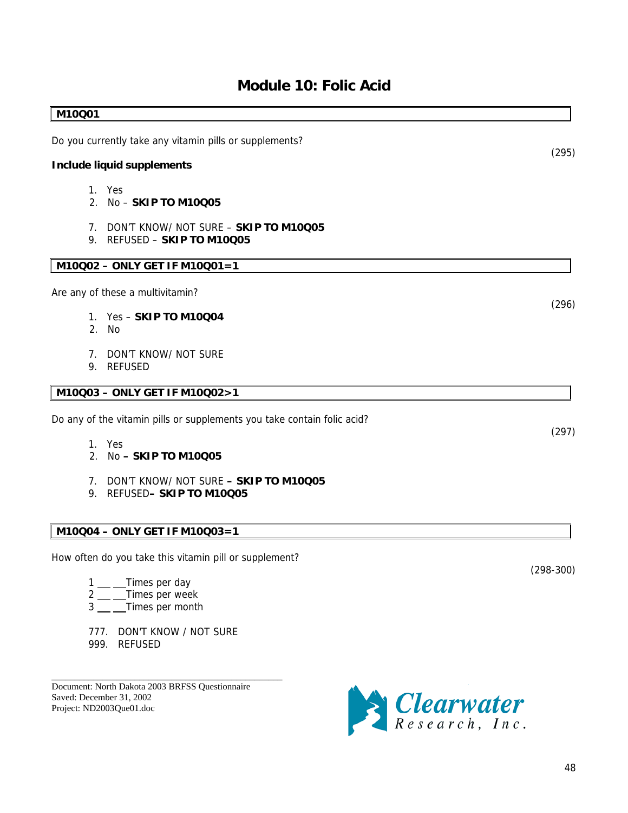### **Module 10: Folic Acid**

### 1. Yes 2. No – **SKIP TO M10Q05** 7. DON'T KNOW/ NOT SURE – **SKIP TO M10Q05** 9. REFUSED – **SKIP TO M10Q05 M10Q02 – ONLY GET IF M10Q01=1**  Are any of these a multivitamin? 1. Yes – **SKIP TO M10Q04**  2. No

7. DON'T KNOW/ NOT SURE

Do you currently take any vitamin pills or supplements?

9. REFUSED

**Include liquid supplements** 

<span id="page-47-0"></span>**M10Q01** 

### **M10Q03 – ONLY GET IF M10Q02>1**

Do any of the vitamin pills or supplements you take contain folic acid?

- 1. Yes
- 2. No  **SKIP TO M10Q05**
- 7. DON'T KNOW/ NOT SURE  **SKIP TO M10Q05**
- 9. REFUSED **SKIP TO M10Q05**

### **M10Q04 – ONLY GET IF M10Q03=1**

How often do you take this vitamin pill or supplement?

- 1 Times per day
- 2 \_\_ \_\_Times per week
- $3 \underline{\hspace{1cm}}$  Times per month
- 777. DON'T KNOW / NOT SURE 999. REFUSED

\_\_\_\_\_\_\_\_\_\_\_\_\_\_\_\_\_\_\_\_\_\_\_\_\_\_\_\_\_\_\_\_\_\_\_\_\_\_\_\_\_\_\_\_\_\_\_\_\_\_

Document: North Dakota 2003 BRFSS Questionnaire Saved: December 31, 2002 Project: ND2003Que01.doc



(298-300)

(296)

(295)

(297)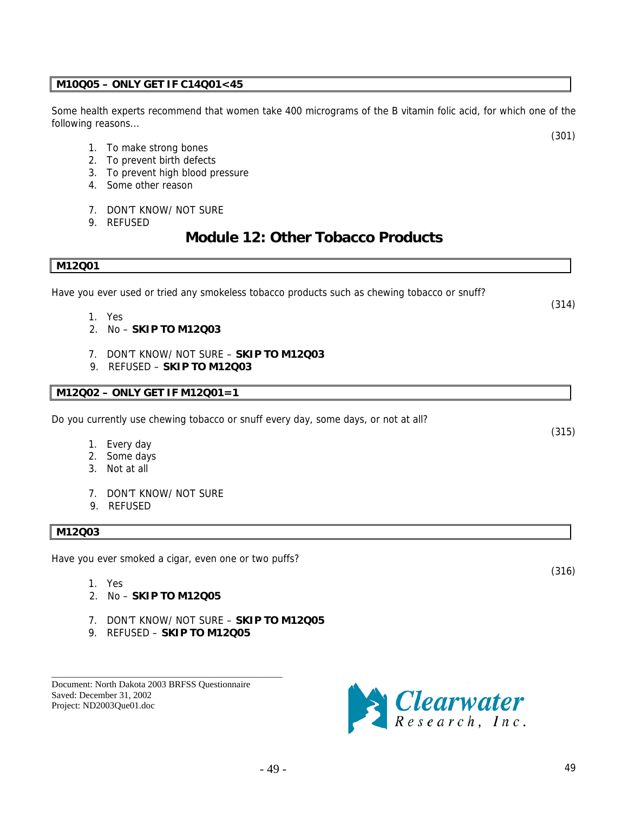### <span id="page-48-0"></span>**M10Q05 – ONLY GET IF C14Q01<45**

Some health experts recommend that women take 400 micrograms of the B vitamin folic acid, for which one of the following reasons...

- 1. To make strong bones
- 2. To prevent birth defects
- 3. To prevent high blood pressure
- 4. Some other reason
- 7. DON'T KNOW/ NOT SURE
- 9. REFUSED

### **Module 12: Other Tobacco Products**

#### **M12Q01**

Have you ever used or tried any smokeless tobacco products such as chewing tobacco or snuff?

- 1. Yes
- 2. No **SKIP TO M12Q03**
- 7. DON'T KNOW/ NOT SURE **SKIP TO M12Q03**
- 9. REFUSED **SKIP TO M12Q03**

### **M12Q02 – ONLY GET IF M12Q01=1**

Do you currently use chewing tobacco or snuff every day, some days, or not at all?

- 1. Every day
- 2. Some days
- 3. Not at all
- 7. DON'T KNOW/ NOT SURE
- 9. REFUSED

### **M12Q03**

Have you ever smoked a cigar, even one or two puffs?

- 1. Yes
- 2. No **SKIP TO M12Q05**
- 7. DON'T KNOW/ NOT SURE **SKIP TO M12Q05**
- 9. REFUSED **SKIP TO M12Q05**

\_\_\_\_\_\_\_\_\_\_\_\_\_\_\_\_\_\_\_\_\_\_\_\_\_\_\_\_\_\_\_\_\_\_\_\_\_\_\_\_\_\_\_\_\_\_\_\_\_\_

Document: North Dakota 2003 BRFSS Questionnaire Saved: December 31, 2002 Project: ND2003Que01.doc



(316)

(301)

(315)

(314)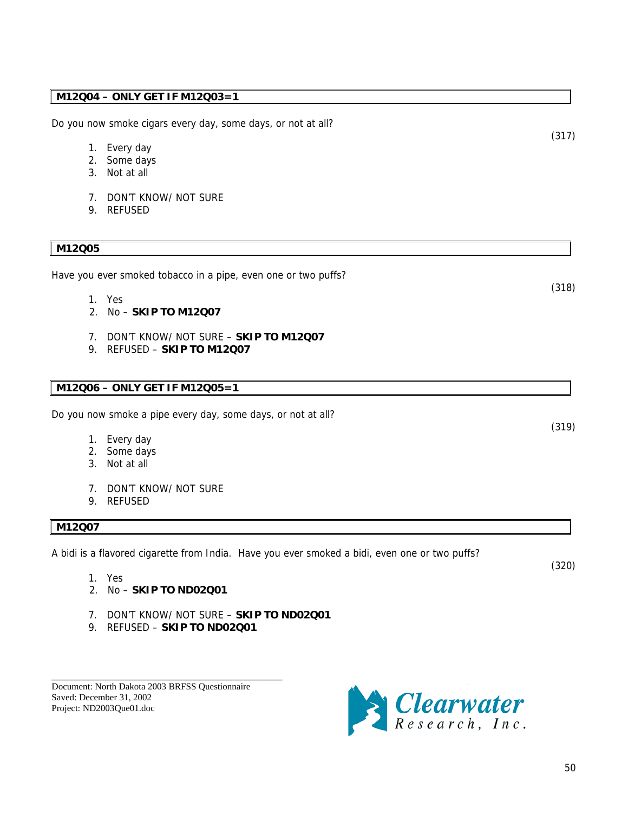### **M12Q04 – ONLY GET IF M12Q03=1**

Do you now smoke cigars every day, some days, or not at all?

- 1. Every day
- 2. Some days
- 3. Not at all
- 7. DON'T KNOW/ NOT SURE
- 9. REFUSED

### **M12Q05**

Have you ever smoked tobacco in a pipe, even one or two puffs?

- 1. Yes
- 2. No **SKIP TO M12Q07**
- 7. DON'T KNOW/ NOT SURE **SKIP TO M12Q07**
- 9. REFUSED **SKIP TO M12Q07**

### **M12Q06 – ONLY GET IF M12Q05=1**

Do you now smoke a pipe every day, some days, or not at all?

- 1. Every day
- 2. Some days
- 3. Not at all
- 7. DON'T KNOW/ NOT SURE
- 9. REFUSED

### **M12Q07**

A bidi is a flavored cigarette from India. Have you ever smoked a bidi, even one or two puffs?

- 1. Yes
- 2. No **SKIP TO ND02Q01**
- 7. DON'T KNOW/ NOT SURE **SKIP TO ND02Q01**
- 9. REFUSED **SKIP TO ND02Q01**

\_\_\_\_\_\_\_\_\_\_\_\_\_\_\_\_\_\_\_\_\_\_\_\_\_\_\_\_\_\_\_\_\_\_\_\_\_\_\_\_\_\_\_\_\_\_\_\_\_\_

Document: North Dakota 2003 BRFSS Questionnaire Saved: December 31, 2002 Project: ND2003Que01.doc



(317)

(318)

(319)

(320)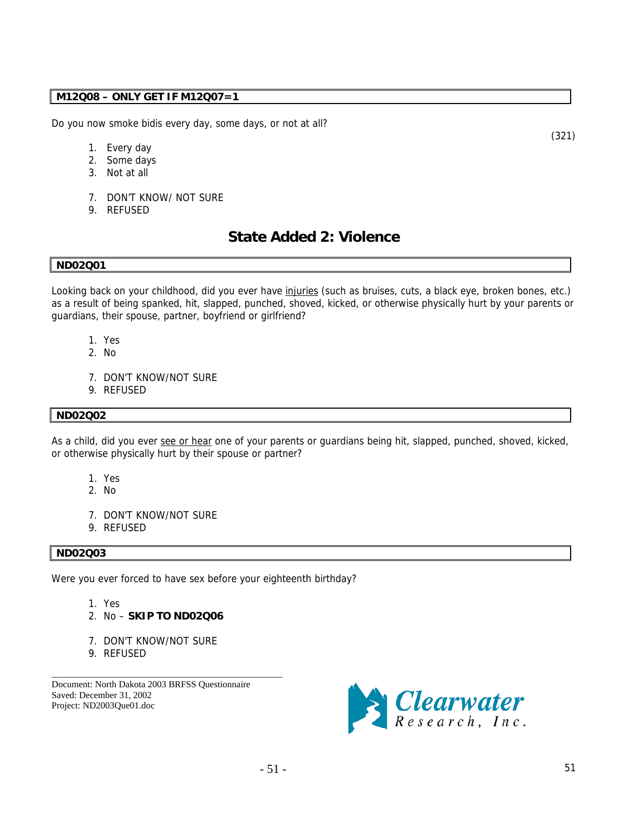### <span id="page-50-0"></span>**M12Q08 – ONLY GET IF M12Q07=1**

Do you now smoke bidis every day, some days, or not at all?

- 1. Every day
- 2. Some days
- 3. Not at all
- 7. DON'T KNOW/ NOT SURE
- 9. REFUSED

### **State Added 2: Violence**

#### **ND02Q01**

Looking back on your childhood, did you ever have *injuries* (such as bruises, cuts, a black eye, broken bones, etc.) as a result of being spanked, hit, slapped, punched, shoved, kicked, or otherwise physically hurt by your parents or guardians, their spouse, partner, boyfriend or girlfriend?

- 1. Yes
- 2. No
- 7. DON'T KNOW/NOT SURE
- 9. REFUSED

#### **ND02Q02**

As a child, did you ever see or hear one of your parents or guardians being hit, slapped, punched, shoved, kicked, or otherwise physically hurt by their spouse or partner?

- 1. Yes
- 2. No
- 7. DON'T KNOW/NOT SURE
- 9. REFUSED

### **ND02Q03**

Were you ever forced to have sex before your eighteenth birthday?

- 1. Yes
- 2. No **SKIP TO ND02Q06**
- 7. DON'T KNOW/NOT SURE
- 9. REFUSED

Document: North Dakota 2003 BRFSS Questionnaire Saved: December 31, 2002 Project: ND2003Que01.doc

\_\_\_\_\_\_\_\_\_\_\_\_\_\_\_\_\_\_\_\_\_\_\_\_\_\_\_\_\_\_\_\_\_\_\_\_\_\_\_\_\_\_\_\_\_\_\_\_\_\_



(321)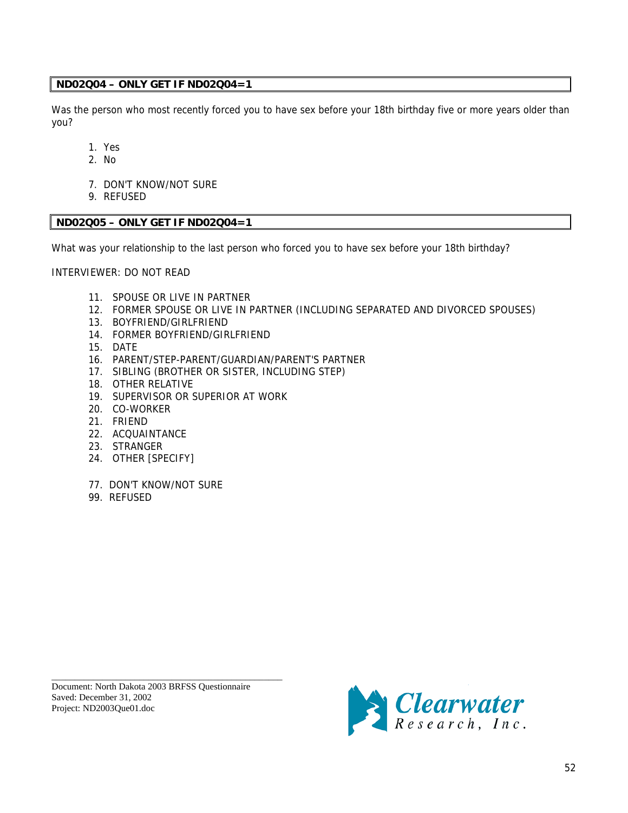### **ND02Q04 – ONLY GET IF ND02Q04=1**

Was the person who most recently forced you to have sex before your 18th birthday five or more years older than you?

- 1. Yes
- 2. No
- 7. DON'T KNOW/NOT SURE
- 9. REFUSED

### **ND02Q05 – ONLY GET IF ND02Q04=1**

What was your relationship to the last person who forced you to have sex before your 18th birthday?

INTERVIEWER: DO NOT READ

- 11. SPOUSE OR LIVE IN PARTNER
- 12. FORMER SPOUSE OR LIVE IN PARTNER (INCLUDING SEPARATED AND DIVORCED SPOUSES)
- 13. BOYFRIEND/GIRLFRIEND
- 14. FORMER BOYFRIEND/GIRLFRIEND
- 15. DATE
- 16. PARENT/STEP-PARENT/GUARDIAN/PARENT'S PARTNER
- 17. SIBLING (BROTHER OR SISTER, INCLUDING STEP)
- 18. OTHER RELATIVE
- 19. SUPERVISOR OR SUPERIOR AT WORK
- 20. CO-WORKER
- 21. FRIEND
- 22. ACQUAINTANCE
- 23. STRANGER
- 24. OTHER [SPECIFY]
- 77. DON'T KNOW/NOT SURE
- 99. REFUSED

Document: North Dakota 2003 BRFSS Questionnaire Saved: December 31, 2002 Project: ND2003Que01.doc

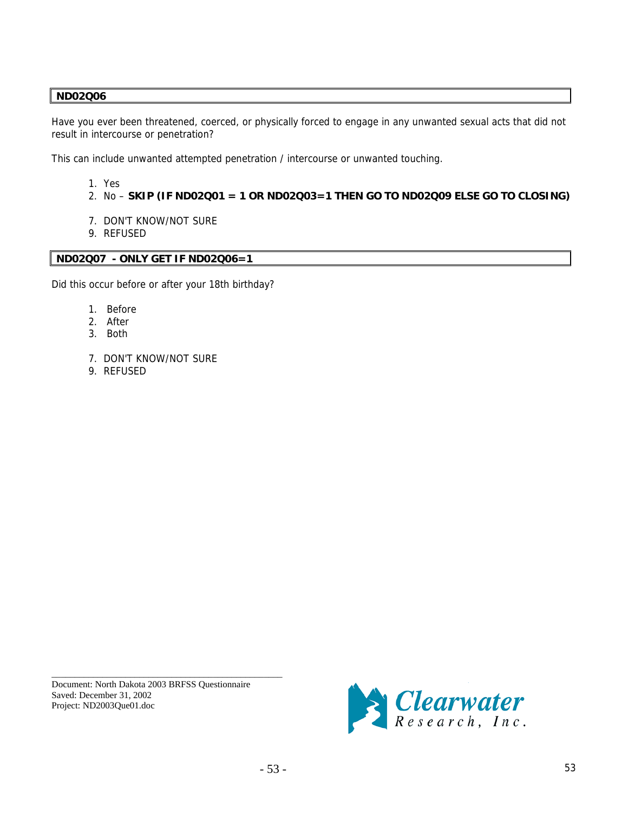### **ND02Q06**

Have you ever been threatened, coerced, or physically forced to engage in any unwanted sexual acts that did not result in intercourse or penetration?

This can include unwanted attempted penetration / intercourse or unwanted touching.

- 1. Yes
- 2. No **SKIP (IF ND02Q01 = 1 OR ND02Q03=1 THEN GO TO ND02Q09 ELSE GO TO CLOSING)**
- 7. DON'T KNOW/NOT SURE
- 9. REFUSED

### **ND02Q07 - ONLY GET IF ND02Q06=1**

Did this occur before or after your 18th birthday?

- 1. Before
- 2. After
- 3. Both
- 7. DON'T KNOW/NOT SURE
- 9. REFUSED

Document: North Dakota 2003 BRFSS Questionnaire Saved: December 31, 2002 Project: ND2003Que01.doc

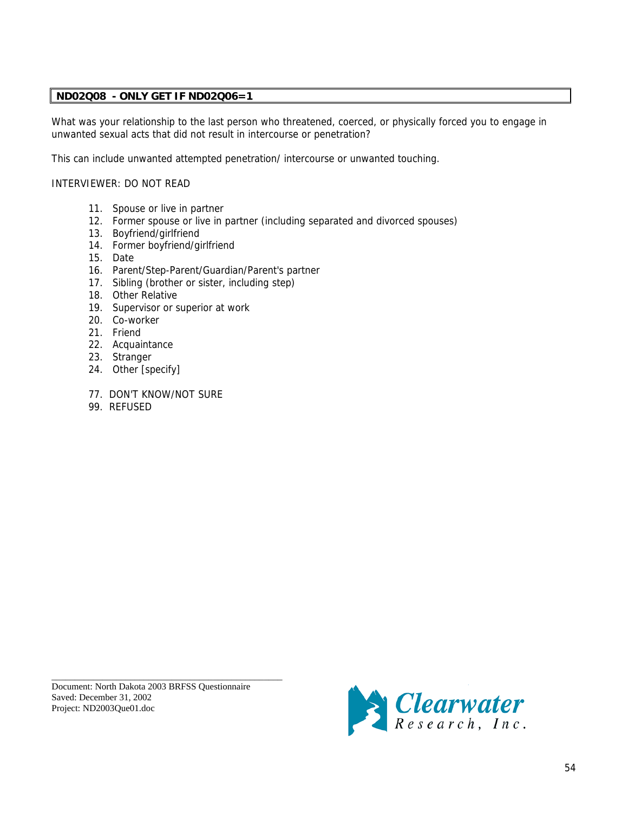### **ND02Q08 - ONLY GET IF ND02Q06=1**

What was your relationship to the last person who threatened, coerced, or physically forced you to engage in unwanted sexual acts that did not result in intercourse or penetration?

This can include unwanted attempted penetration/ intercourse or unwanted touching.

### INTERVIEWER: DO NOT READ

- 11. Spouse or live in partner
- 12. Former spouse or live in partner (including separated and divorced spouses)
- 13. Boyfriend/girlfriend
- 14. Former boyfriend/girlfriend
- 15. Date
- 16. Parent/Step-Parent/Guardian/Parent's partner
- 17. Sibling (brother or sister, including step)
- 18. Other Relative
- 19. Supervisor or superior at work
- 20. Co-worker
- 21. Friend
- 22. Acquaintance
- 23. Stranger
- 24. Other [specify]
- 77. DON'T KNOW/NOT SURE
- 99. REFUSED

Document: North Dakota 2003 BRFSS Questionnaire Saved: December 31, 2002 Project: ND2003Que01.doc